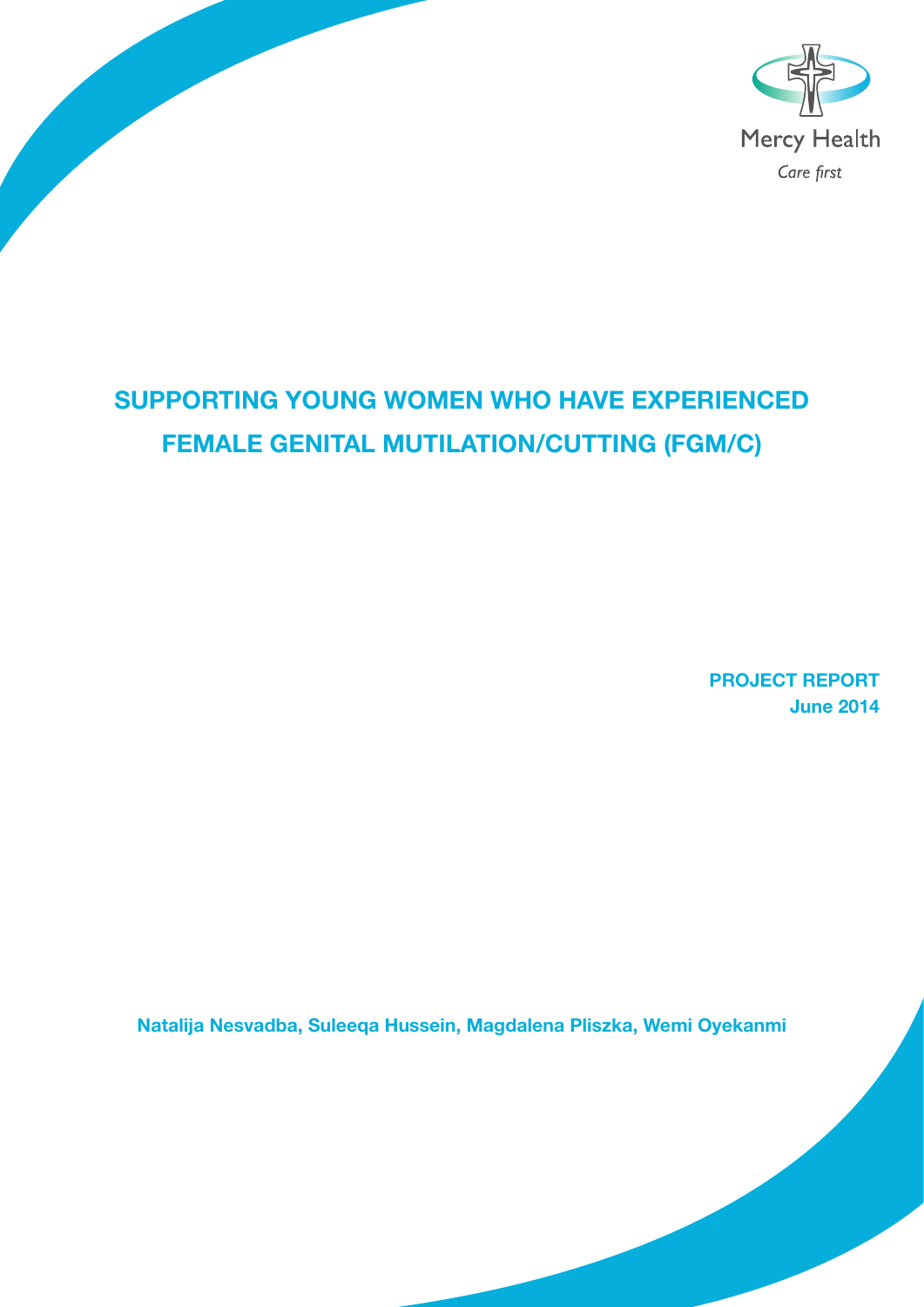

## Supporting young women who have experienced female genital mutilation/cutting (FGM/C)

PROJECT REPORT June 2014

Natalija Nesvadba, Suleeqa Hussein, Magdalena Pliszka, Wemi Oyekanmi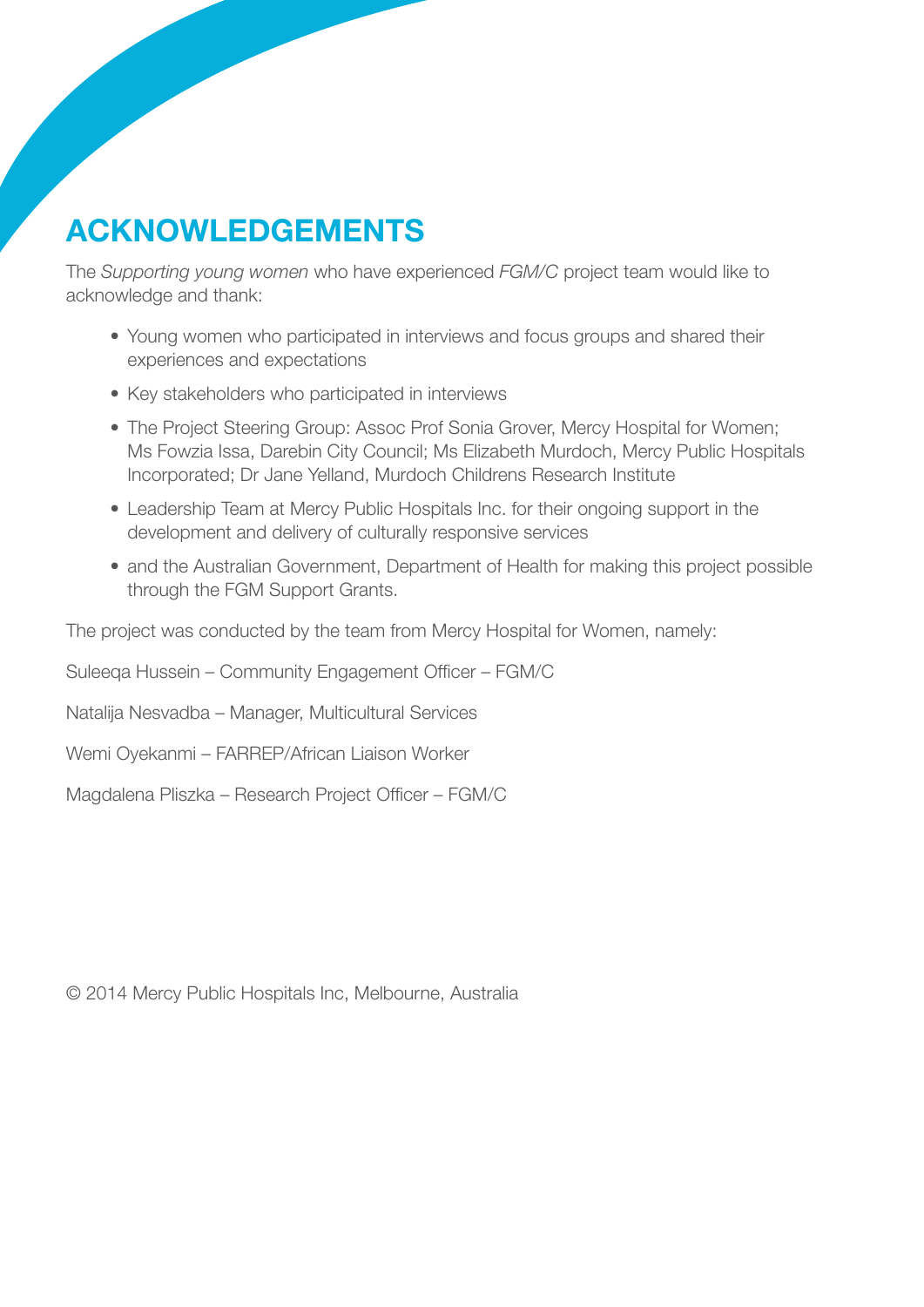# Acknowledgements

The *Supporting young women* who have experienced *FGM/C* project team would like to acknowledge and thank:

- Young women who participated in interviews and focus groups and shared their experiences and expectations
- Key stakeholders who participated in interviews
- The Project Steering Group: Assoc Prof Sonia Grover, Mercy Hospital for Women; Ms Fowzia Issa, Darebin City Council; Ms Elizabeth Murdoch, Mercy Public Hospitals Incorporated; Dr Jane Yelland, Murdoch Childrens Research Institute
- Leadership Team at Mercy Public Hospitals Inc. for their ongoing support in the development and delivery of culturally responsive services
- and the Australian Government, Department of Health for making this project possible through the FGM Support Grants.

The project was conducted by the team from Mercy Hospital for Women, namely:

Suleeqa Hussein – Community Engagement Officer – FGM/C

Natalija Nesvadba – Manager, Multicultural Services

Wemi Oyekanmi – FARREP/African Liaison Worker

Magdalena Pliszka – Research Project Officer – FGM/C

© 2014 Mercy Public Hospitals Inc, Melbourne, Australia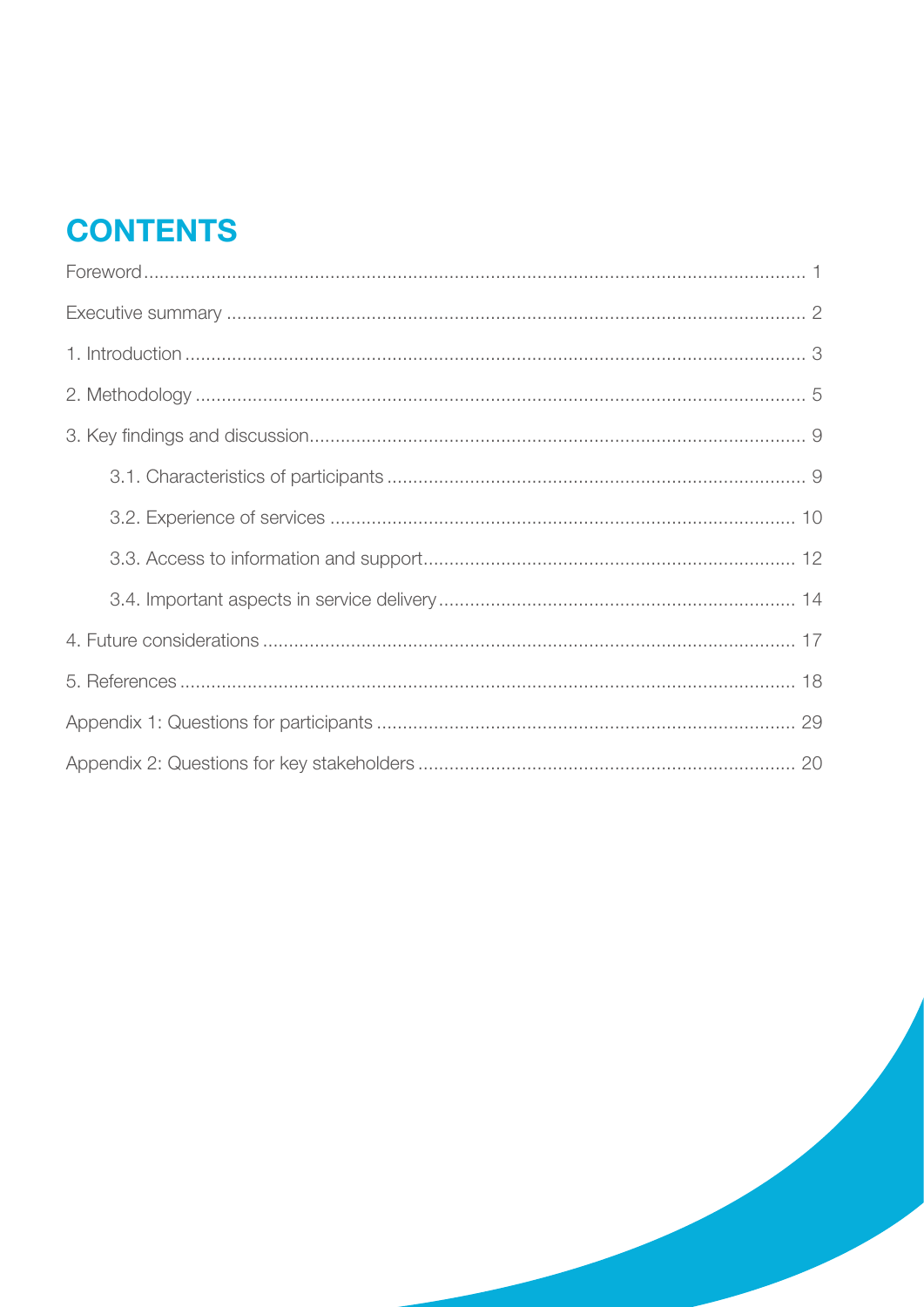# **CONTENTS**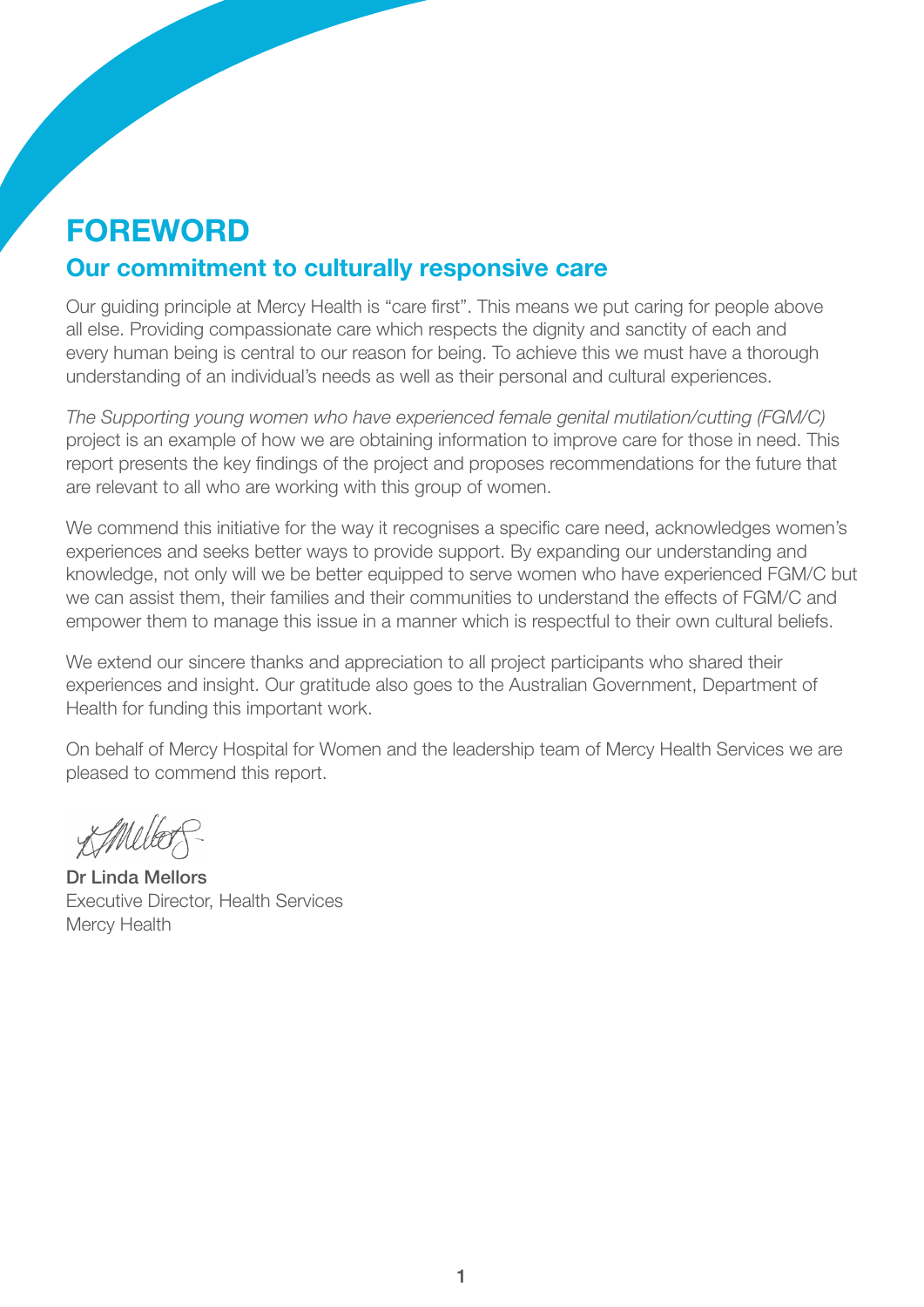## **FOREWORD** Our commitment to culturally responsive care

Our guiding principle at Mercy Health is "care first". This means we put caring for people above all else. Providing compassionate care which respects the dignity and sanctity of each and every human being is central to our reason for being. To achieve this we must have a thorough understanding of an individual's needs as well as their personal and cultural experiences.

*The Supporting young women who have experienced female genital mutilation/cutting (FGM/C)*  project is an example of how we are obtaining information to improve care for those in need. This report presents the key findings of the project and proposes recommendations for the future that are relevant to all who are working with this group of women.

We commend this initiative for the way it recognises a specific care need, acknowledges women's experiences and seeks better ways to provide support. By expanding our understanding and knowledge, not only will we be better equipped to serve women who have experienced FGM/C but we can assist them, their families and their communities to understand the effects of FGM/C and empower them to manage this issue in a manner which is respectful to their own cultural beliefs.

We extend our sincere thanks and appreciation to all project participants who shared their experiences and insight. Our gratitude also goes to the Australian Government, Department of Health for funding this important work.

On behalf of Mercy Hospital for Women and the leadership team of Mercy Health Services we are pleased to commend this report.

X Meller P

Dr Linda Mellors Executive Director, Health Services Mercy Health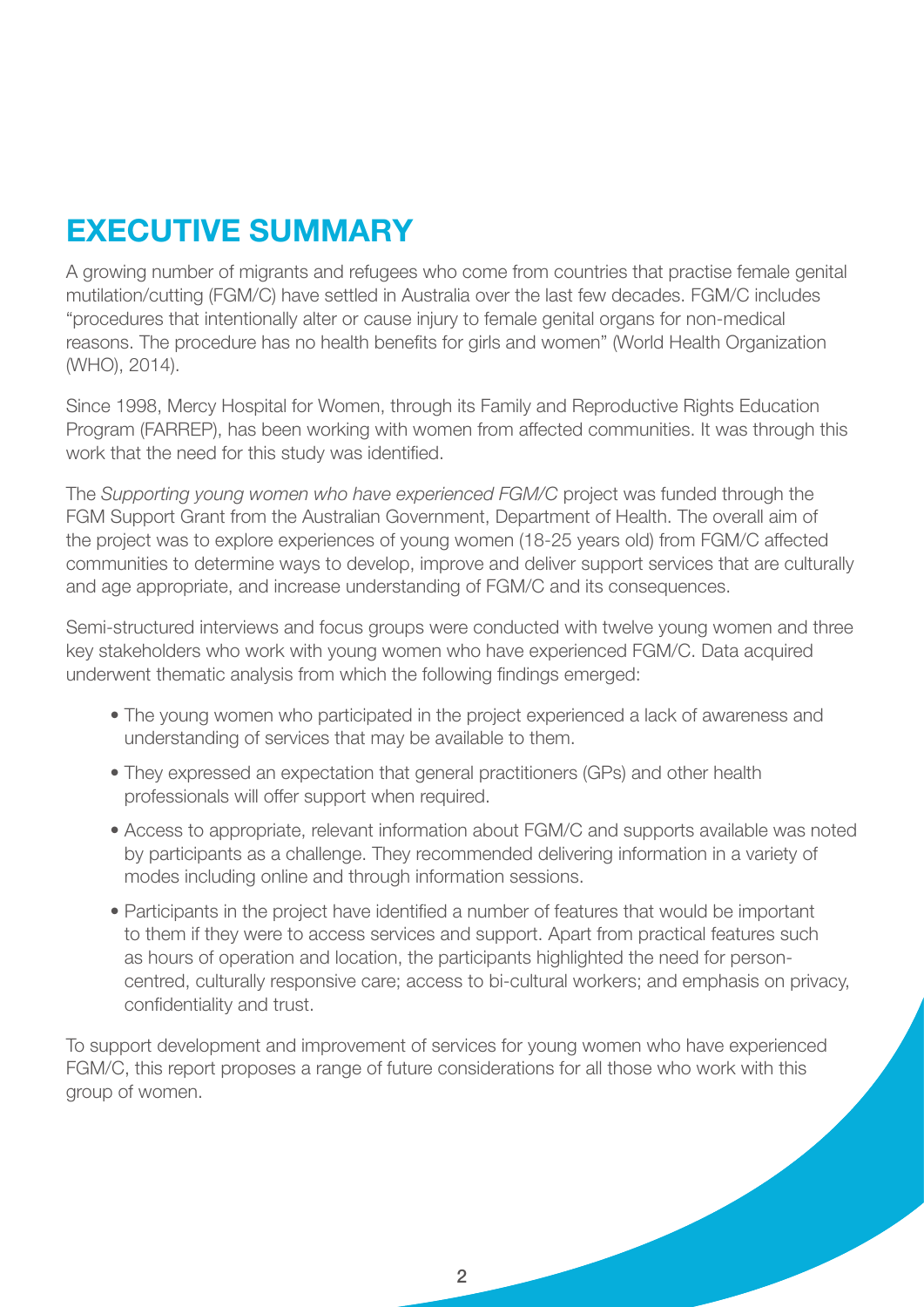# Executive summary

A growing number of migrants and refugees who come from countries that practise female genital mutilation/cutting (FGM/C) have settled in Australia over the last few decades. FGM/C includes "procedures that intentionally alter or cause injury to female genital organs for non-medical reasons. The procedure has no health benefits for girls and women" (World Health Organization (WHO), 2014).

Since 1998, Mercy Hospital for Women, through its Family and Reproductive Rights Education Program (FARREP), has been working with women from affected communities. It was through this work that the need for this study was identified.

The *Supporting young women who have experienced FGM/C* project was funded through the FGM Support Grant from the Australian Government, Department of Health. The overall aim of the project was to explore experiences of young women (18-25 years old) from FGM/C affected communities to determine ways to develop, improve and deliver support services that are culturally and age appropriate, and increase understanding of FGM/C and its consequences.

Semi-structured interviews and focus groups were conducted with twelve young women and three key stakeholders who work with young women who have experienced FGM/C. Data acquired underwent thematic analysis from which the following findings emerged:

- The young women who participated in the project experienced a lack of awareness and understanding of services that may be available to them.
- They expressed an expectation that general practitioners (GPs) and other health professionals will offer support when required.
- Access to appropriate, relevant information about FGM/C and supports available was noted by participants as a challenge. They recommended delivering information in a variety of modes including online and through information sessions.
- Participants in the project have identified a number of features that would be important to them if they were to access services and support. Apart from practical features such as hours of operation and location, the participants highlighted the need for personcentred, culturally responsive care; access to bi-cultural workers; and emphasis on privacy, confidentiality and trust.

To support development and improvement of services for young women who have experienced FGM/C, this report proposes a range of future considerations for all those who work with this group of women.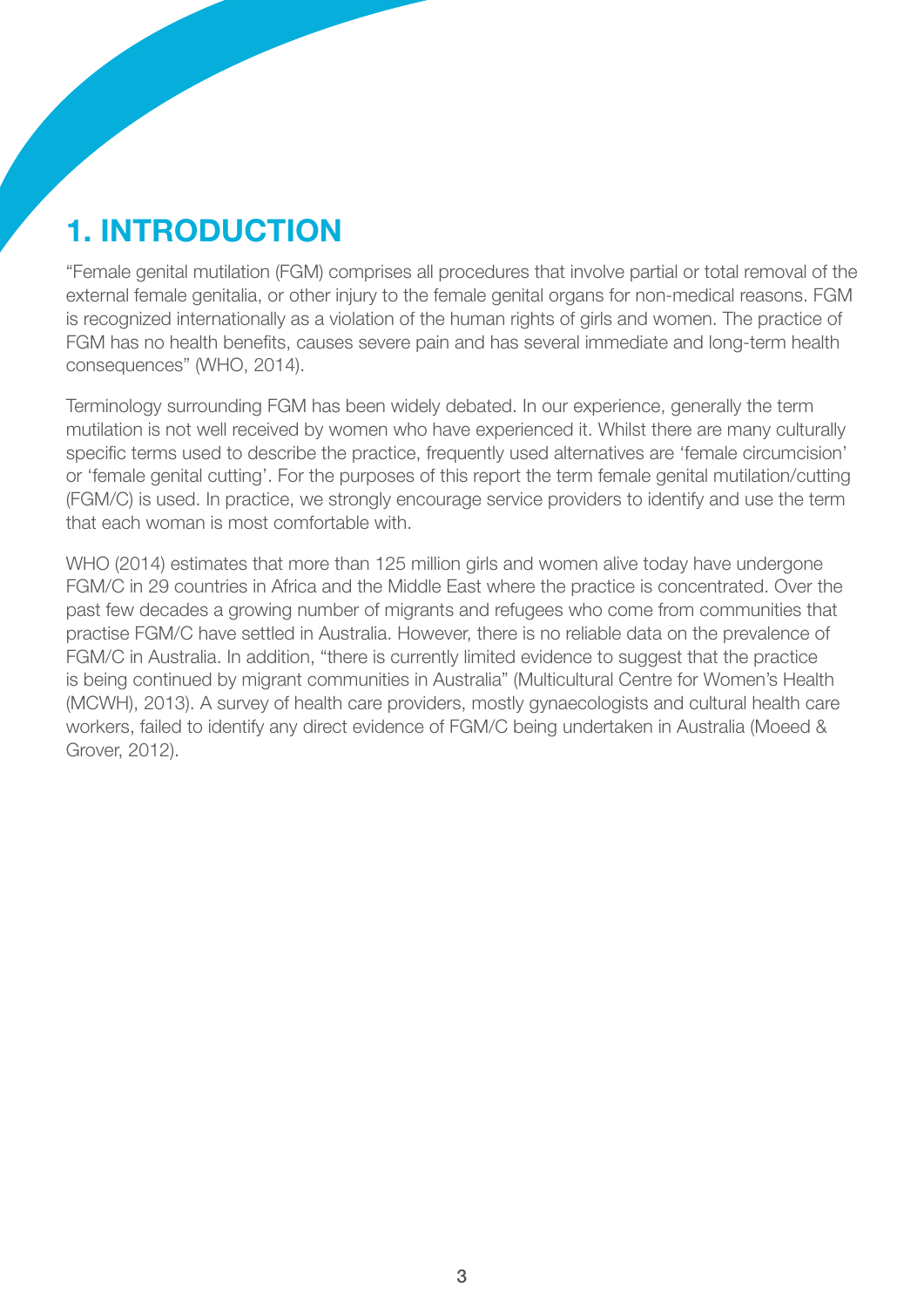# 1. Introduction

"Female genital mutilation (FGM) comprises all procedures that involve partial or total removal of the external female genitalia, or other injury to the female genital organs for non-medical reasons. FGM is recognized internationally as a violation of the human rights of girls and women. The practice of FGM has no health benefits, causes severe pain and has several immediate and long-term health consequences" (WHO, 2014).

Terminology surrounding FGM has been widely debated. In our experience, generally the term mutilation is not well received by women who have experienced it. Whilst there are many culturally specific terms used to describe the practice, frequently used alternatives are 'female circumcision' or 'female genital cutting'. For the purposes of this report the term female genital mutilation/cutting (FGM/C) is used. In practice, we strongly encourage service providers to identify and use the term that each woman is most comfortable with.

WHO (2014) estimates that more than 125 million girls and women alive today have undergone FGM/C in 29 countries in Africa and the Middle East where the practice is concentrated. Over the past few decades a growing number of migrants and refugees who come from communities that practise FGM/C have settled in Australia. However, there is no reliable data on the prevalence of FGM/C in Australia. In addition, "there is currently limited evidence to suggest that the practice is being continued by migrant communities in Australia" (Multicultural Centre for Women's Health (MCWH), 2013). A survey of health care providers, mostly gynaecologists and cultural health care workers, failed to identify any direct evidence of FGM/C being undertaken in Australia (Moeed & Grover, 2012).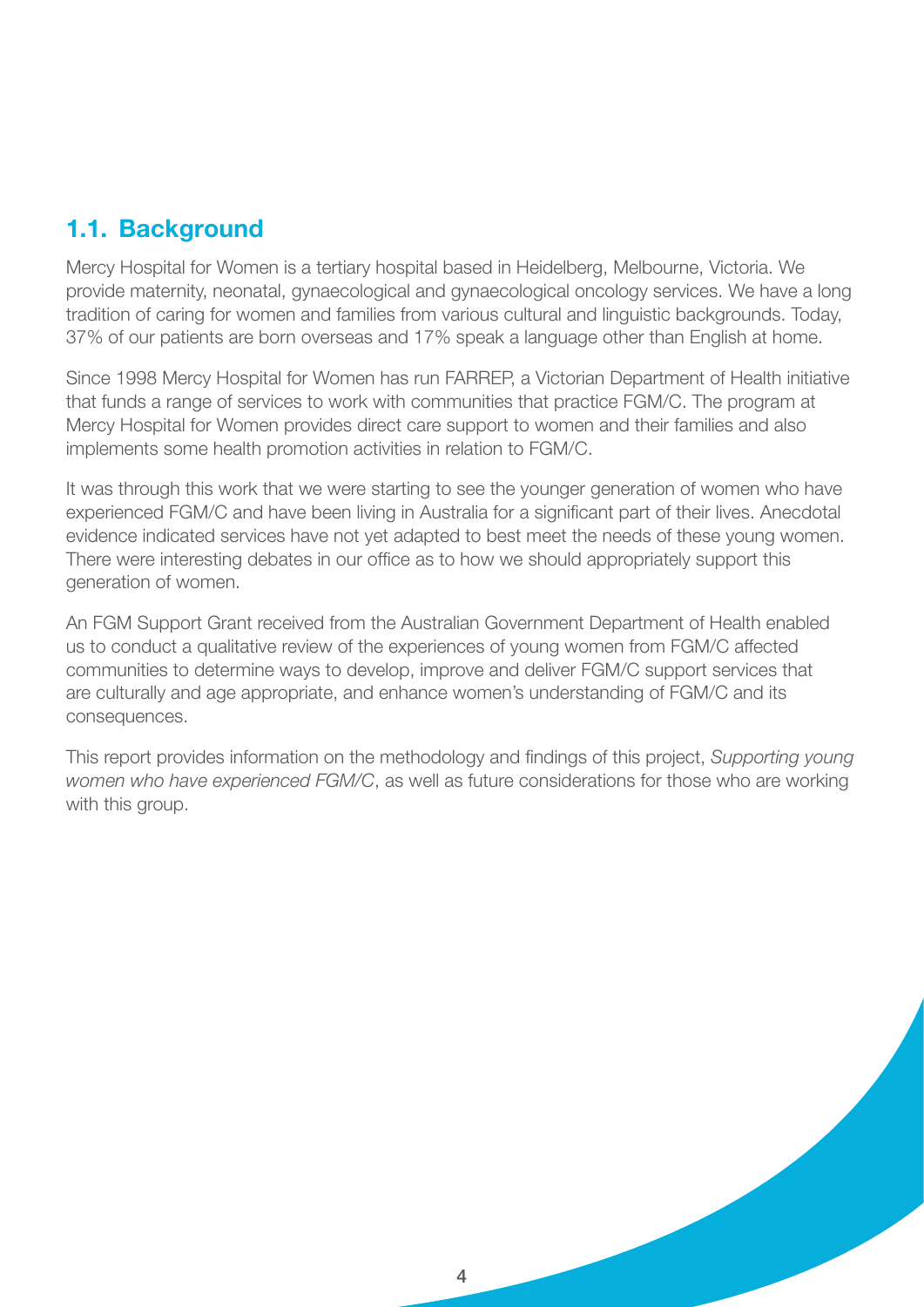#### 1.1. Background

Mercy Hospital for Women is a tertiary hospital based in Heidelberg, Melbourne, Victoria. We provide maternity, neonatal, gynaecological and gynaecological oncology services. We have a long tradition of caring for women and families from various cultural and linguistic backgrounds. Today, 37% of our patients are born overseas and 17% speak a language other than English at home.

Since 1998 Mercy Hospital for Women has run FARREP, a Victorian Department of Health initiative that funds a range of services to work with communities that practice FGM/C. The program at Mercy Hospital for Women provides direct care support to women and their families and also implements some health promotion activities in relation to FGM/C.

It was through this work that we were starting to see the younger generation of women who have experienced FGM/C and have been living in Australia for a significant part of their lives. Anecdotal evidence indicated services have not yet adapted to best meet the needs of these young women. There were interesting debates in our office as to how we should appropriately support this generation of women.

An FGM Support Grant received from the Australian Government Department of Health enabled us to conduct a qualitative review of the experiences of young women from FGM/C affected communities to determine ways to develop, improve and deliver FGM/C support services that are culturally and age appropriate, and enhance women's understanding of FGM/C and its consequences.

This report provides information on the methodology and findings of this project, *Supporting young women who have experienced FGM/C*, as well as future considerations for those who are working with this group.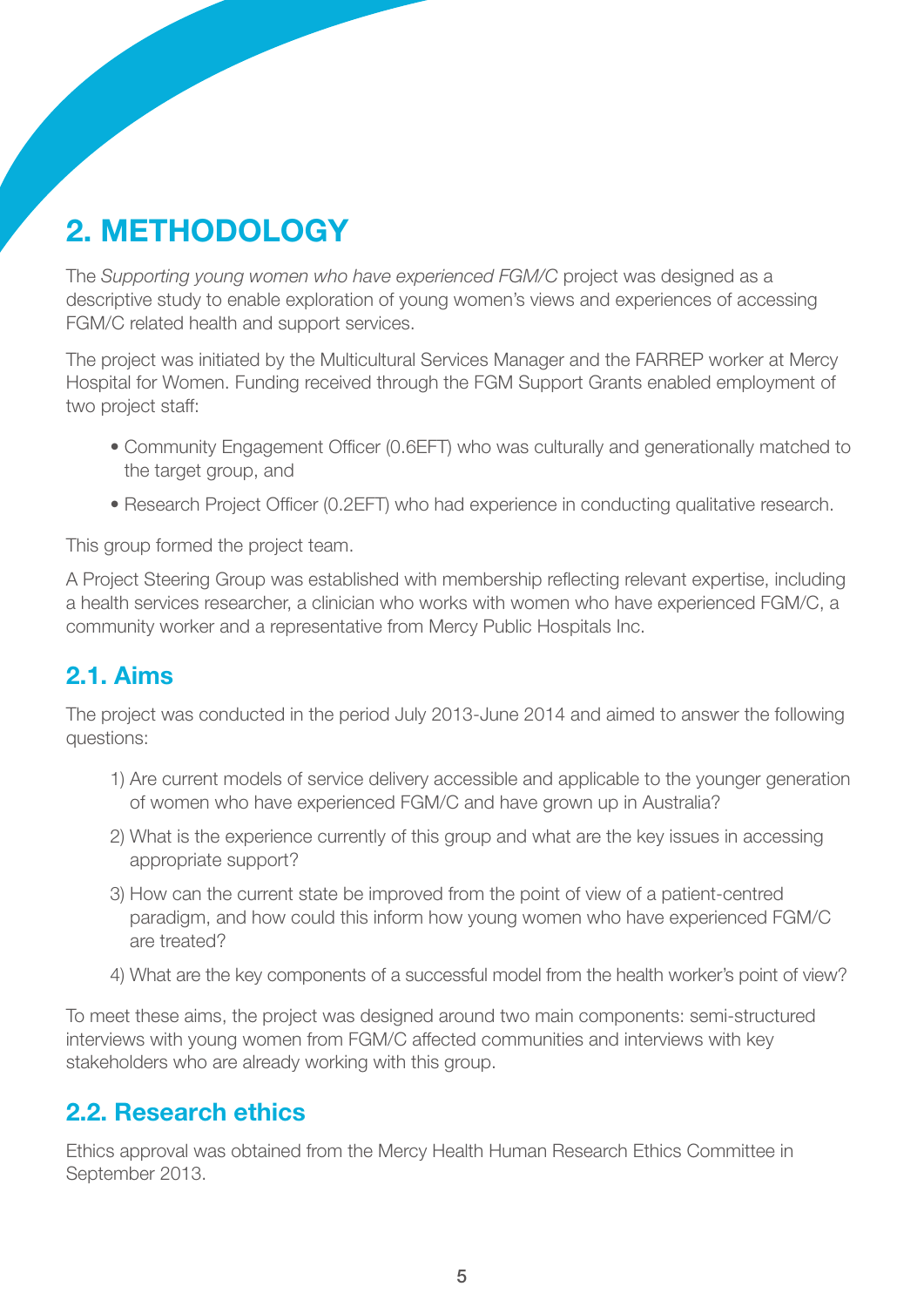# 2. Methodology

The *Supporting young women who have experienced FGM/C* project was designed as a descriptive study to enable exploration of young women's views and experiences of accessing FGM/C related health and support services.

The project was initiated by the Multicultural Services Manager and the FARREP worker at Mercy Hospital for Women. Funding received through the FGM Support Grants enabled employment of two project staff:

- Community Engagement Officer (0.6EFT) who was culturally and generationally matched to the target group, and
- Research Project Officer (0.2EFT) who had experience in conducting qualitative research.

This group formed the project team.

A Project Steering Group was established with membership reflecting relevant expertise, including a health services researcher, a clinician who works with women who have experienced FGM/C, a community worker and a representative from Mercy Public Hospitals Inc.

#### 2.1. Aims

The project was conducted in the period July 2013-June 2014 and aimed to answer the following questions:

- 1) Are current models of service delivery accessible and applicable to the younger generation of women who have experienced FGM/C and have grown up in Australia?
- 2) What is the experience currently of this group and what are the key issues in accessing appropriate support?
- 3) How can the current state be improved from the point of view of a patient-centred paradigm, and how could this inform how young women who have experienced FGM/C are treated?
- 4) What are the key components of a successful model from the health worker's point of view?

To meet these aims, the project was designed around two main components: semi-structured interviews with young women from FGM/C affected communities and interviews with key stakeholders who are already working with this group.

#### 2.2. Research ethics

Ethics approval was obtained from the Mercy Health Human Research Ethics Committee in September 2013.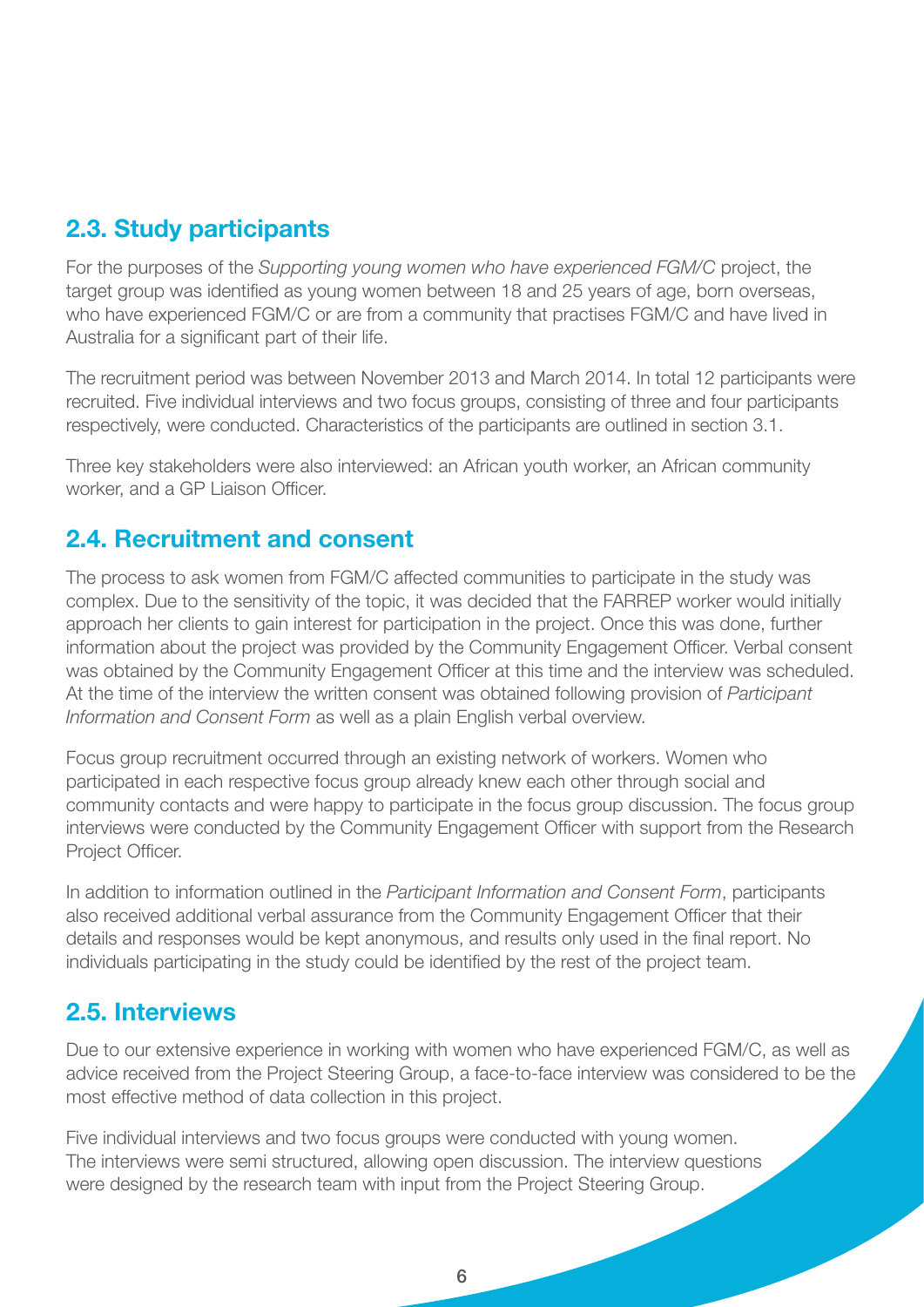### 2.3. Study participants

For the purposes of the *Supporting young women who have experienced FGM/C* project, the target group was identified as young women between 18 and 25 years of age, born overseas, who have experienced FGM/C or are from a community that practises FGM/C and have lived in Australia for a significant part of their life.

The recruitment period was between November 2013 and March 2014. In total 12 participants were recruited. Five individual interviews and two focus groups, consisting of three and four participants respectively, were conducted. Characteristics of the participants are outlined in section 3.1.

Three key stakeholders were also interviewed: an African youth worker, an African community worker, and a GP Liaison Officer.

#### 2.4. Recruitment and consent

The process to ask women from FGM/C affected communities to participate in the study was complex. Due to the sensitivity of the topic, it was decided that the FARREP worker would initially approach her clients to gain interest for participation in the project. Once this was done, further information about the project was provided by the Community Engagement Officer. Verbal consent was obtained by the Community Engagement Officer at this time and the interview was scheduled. At the time of the interview the written consent was obtained following provision of *Participant Information and Consent Form* as well as a plain English verbal overview.

Focus group recruitment occurred through an existing network of workers. Women who participated in each respective focus group already knew each other through social and community contacts and were happy to participate in the focus group discussion. The focus group interviews were conducted by the Community Engagement Officer with support from the Research Project Officer.

In addition to information outlined in the *Participant Information and Consent Form*, participants also received additional verbal assurance from the Community Engagement Officer that their details and responses would be kept anonymous, and results only used in the final report. No individuals participating in the study could be identified by the rest of the project team.

#### 2.5. Interviews

Due to our extensive experience in working with women who have experienced FGM/C, as well as advice received from the Project Steering Group, a face-to-face interview was considered to be the most effective method of data collection in this project.

Five individual interviews and two focus groups were conducted with young women. The interviews were semi structured, allowing open discussion. The interview questions were designed by the research team with input from the Project Steering Group.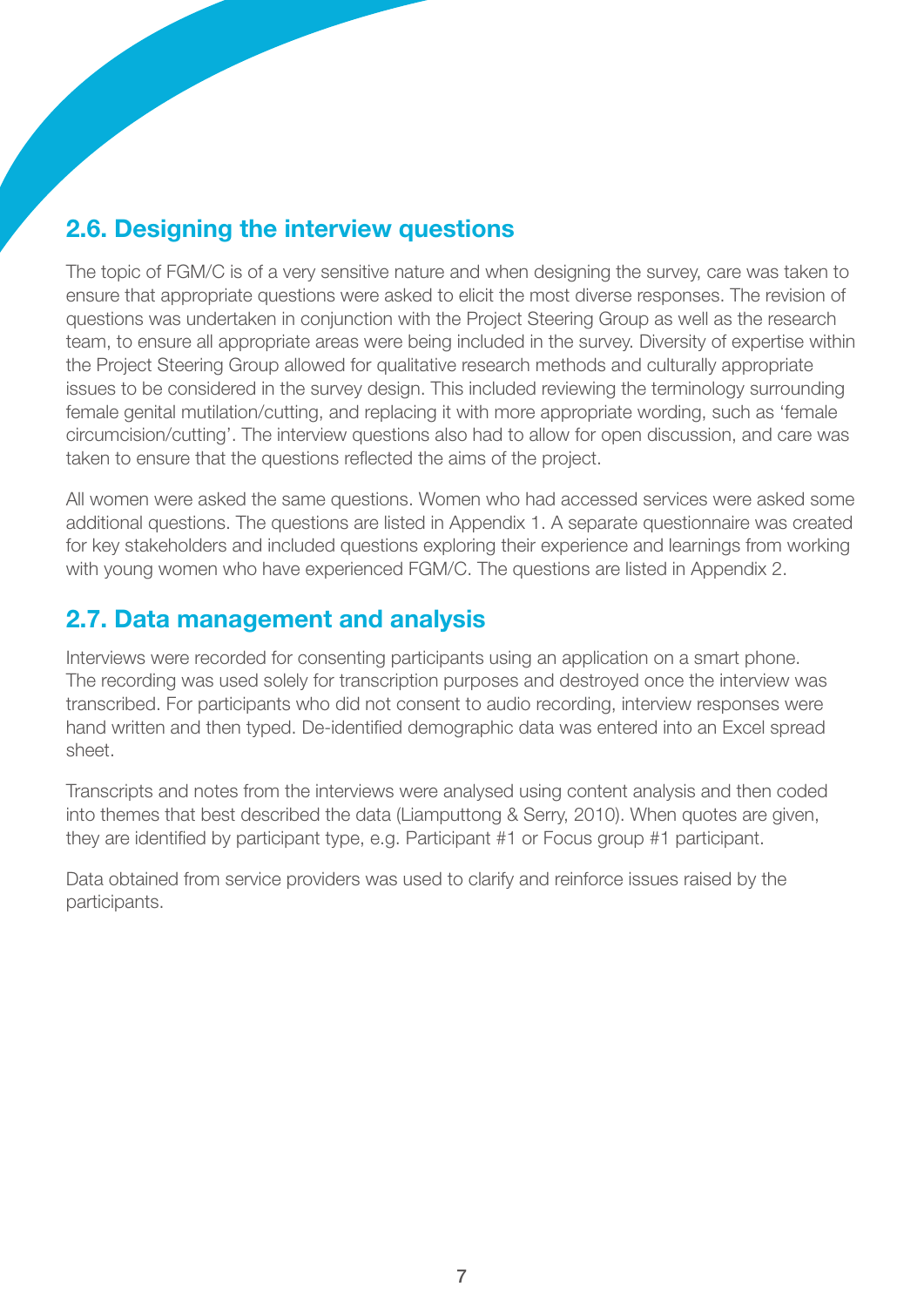### 2.6. Designing the interview questions

The topic of FGM/C is of a very sensitive nature and when designing the survey, care was taken to ensure that appropriate questions were asked to elicit the most diverse responses. The revision of questions was undertaken in conjunction with the Project Steering Group as well as the research team, to ensure all appropriate areas were being included in the survey. Diversity of expertise within the Project Steering Group allowed for qualitative research methods and culturally appropriate issues to be considered in the survey design. This included reviewing the terminology surrounding female genital mutilation/cutting, and replacing it with more appropriate wording, such as 'female circumcision/cutting'. The interview questions also had to allow for open discussion, and care was taken to ensure that the questions reflected the aims of the project.

All women were asked the same questions. Women who had accessed services were asked some additional questions. The questions are listed in Appendix 1. A separate questionnaire was created for key stakeholders and included questions exploring their experience and learnings from working with young women who have experienced FGM/C. The questions are listed in Appendix 2.

#### 2.7. Data management and analysis

Interviews were recorded for consenting participants using an application on a smart phone. The recording was used solely for transcription purposes and destroyed once the interview was transcribed. For participants who did not consent to audio recording, interview responses were hand written and then typed. De-identified demographic data was entered into an Excel spread sheet.

Transcripts and notes from the interviews were analysed using content analysis and then coded into themes that best described the data (Liamputtong & Serry, 2010). When quotes are given, they are identified by participant type, e.g. Participant #1 or Focus group #1 participant.

Data obtained from service providers was used to clarify and reinforce issues raised by the participants.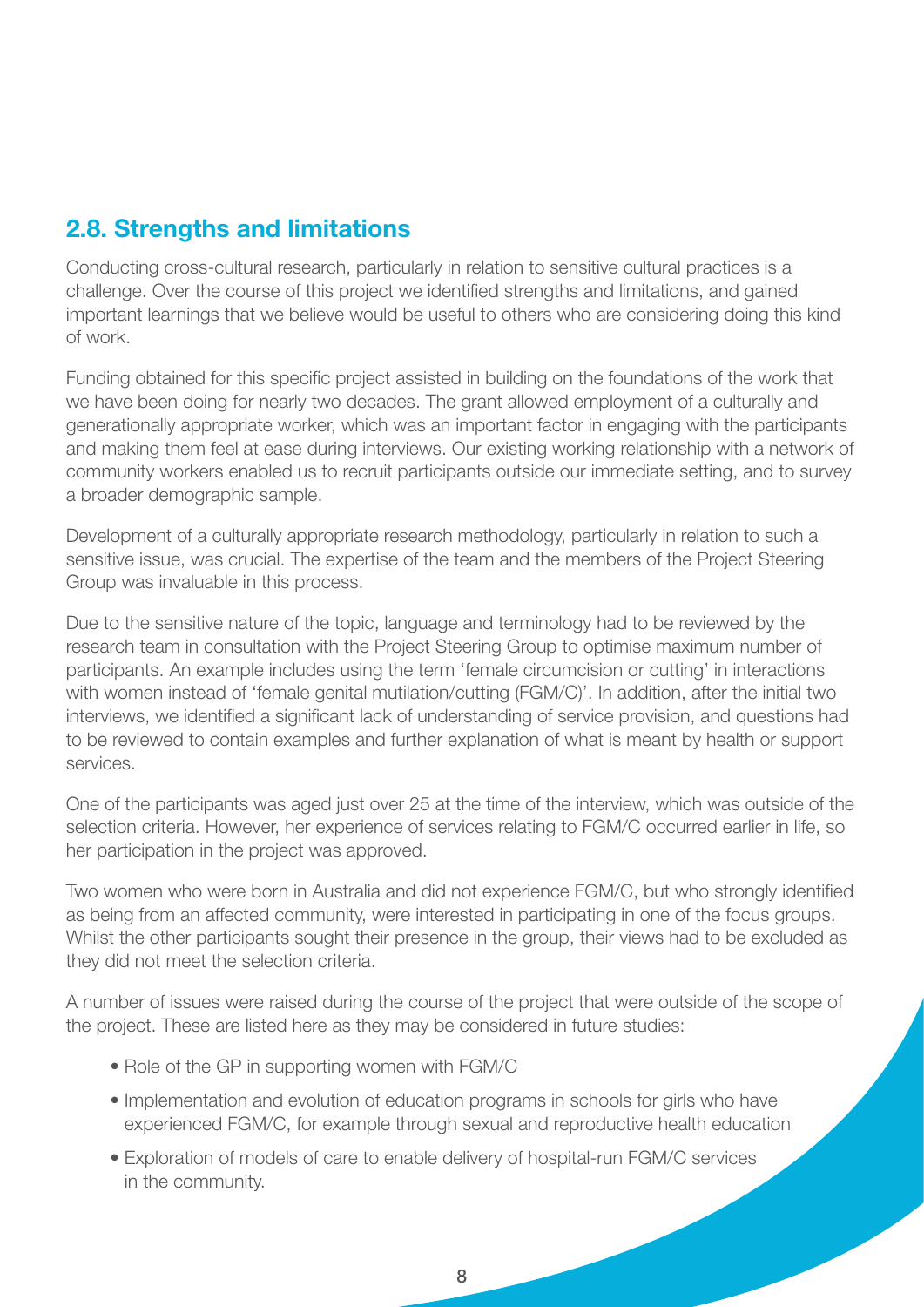#### 2.8. Strengths and limitations

Conducting cross-cultural research, particularly in relation to sensitive cultural practices is a challenge. Over the course of this project we identified strengths and limitations, and gained important learnings that we believe would be useful to others who are considering doing this kind of work.

Funding obtained for this specific project assisted in building on the foundations of the work that we have been doing for nearly two decades. The grant allowed employment of a culturally and generationally appropriate worker, which was an important factor in engaging with the participants and making them feel at ease during interviews. Our existing working relationship with a network of community workers enabled us to recruit participants outside our immediate setting, and to survey a broader demographic sample.

Development of a culturally appropriate research methodology, particularly in relation to such a sensitive issue, was crucial. The expertise of the team and the members of the Project Steering Group was invaluable in this process.

Due to the sensitive nature of the topic, language and terminology had to be reviewed by the research team in consultation with the Project Steering Group to optimise maximum number of participants. An example includes using the term 'female circumcision or cutting' in interactions with women instead of 'female genital mutilation/cutting (FGM/C)'. In addition, after the initial two interviews, we identified a significant lack of understanding of service provision, and questions had to be reviewed to contain examples and further explanation of what is meant by health or support services.

One of the participants was aged just over 25 at the time of the interview, which was outside of the selection criteria. However, her experience of services relating to FGM/C occurred earlier in life, so her participation in the project was approved.

Two women who were born in Australia and did not experience FGM/C, but who strongly identified as being from an affected community, were interested in participating in one of the focus groups. Whilst the other participants sought their presence in the group, their views had to be excluded as they did not meet the selection criteria.

A number of issues were raised during the course of the project that were outside of the scope of the project. These are listed here as they may be considered in future studies:

- Role of the GP in supporting women with FGM/C
- Implementation and evolution of education programs in schools for girls who have experienced FGM/C, for example through sexual and reproductive health education
- Exploration of models of care to enable delivery of hospital-run FGM/C services in the community.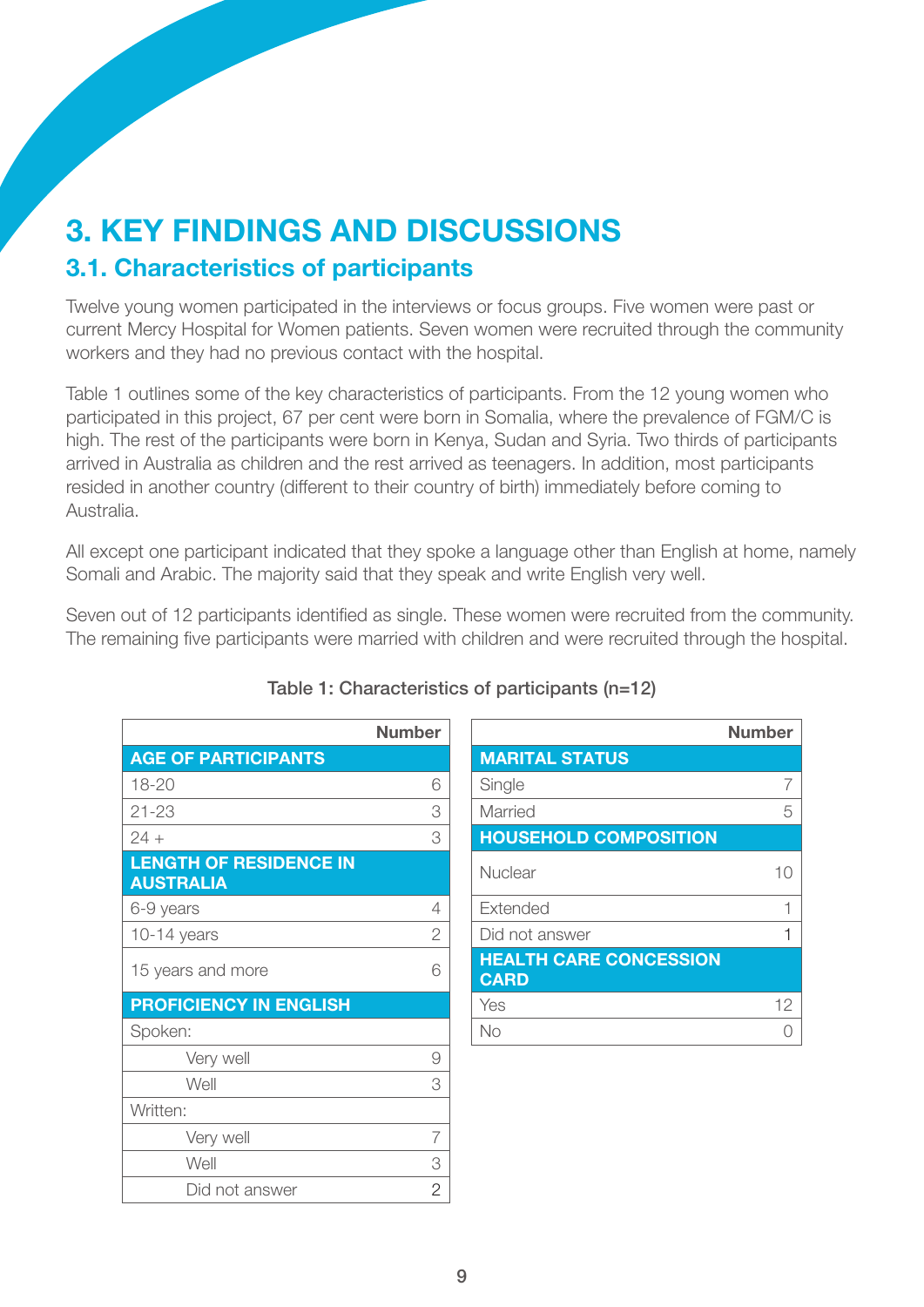## 3. Key findings and discussions 3.1. Characteristics of participants

Twelve young women participated in the interviews or focus groups. Five women were past or current Mercy Hospital for Women patients. Seven women were recruited through the community workers and they had no previous contact with the hospital.

Table 1 outlines some of the key characteristics of participants. From the 12 young women who participated in this project, 67 per cent were born in Somalia, where the prevalence of FGM/C is high. The rest of the participants were born in Kenya, Sudan and Syria. Two thirds of participants arrived in Australia as children and the rest arrived as teenagers. In addition, most participants resided in another country (different to their country of birth) immediately before coming to Australia.

All except one participant indicated that they spoke a language other than English at home, namely Somali and Arabic. The majority said that they speak and write English very well.

Seven out of 12 participants identified as single. These women were recruited from the community. The remaining five participants were married with children and were recruited through the hospital.

| <b>Number</b>  |                                              |
|----------------|----------------------------------------------|
|                | <b>MARITAL STATUS</b>                        |
| 6              | Single                                       |
| 3              | Married                                      |
| 3              | <b>HOUSEHOLD COMPOSITION</b>                 |
|                | Nuclear                                      |
| 4              | Extended                                     |
| 2              | Did not answer                               |
| 6              | <b>HEALTH CARE CONCESSION</b><br><b>CARD</b> |
|                | Yes                                          |
|                | No                                           |
| 9              |                                              |
| 3              |                                              |
|                |                                              |
| 7              |                                              |
| 3              |                                              |
| $\overline{2}$ |                                              |
|                |                                              |

#### Table 1: Characteristics of participants (n=12)

|                                                   | <b>Number</b>  |                                              | <b>Number</b> |
|---------------------------------------------------|----------------|----------------------------------------------|---------------|
| <b>AGE OF PARTICIPANTS</b>                        |                | <b>MARITAL STATUS</b>                        |               |
| 18-20                                             | 6              | Single                                       | 7             |
| $21 - 23$                                         | 3              | Married                                      | 5             |
| $24 +$                                            | 3              | <b>HOUSEHOLD COMPOSITION</b>                 |               |
| <b>LENGTH OF RESIDENCE IN</b><br><b>AUSTRALIA</b> |                | <b>Nuclear</b>                               | 10            |
| 6-9 years                                         | $\overline{4}$ | Extended                                     |               |
| $10-14$ years                                     | $\overline{2}$ | Did not answer                               |               |
| 15 years and more                                 | 6              | <b>HEALTH CARE CONCESSION</b><br><b>CARD</b> |               |
| <b>PROFICIENCY IN ENGLISH</b>                     |                | Yes                                          | 12            |
| Spoken:                                           |                | No                                           | ∩             |
|                                                   |                |                                              |               |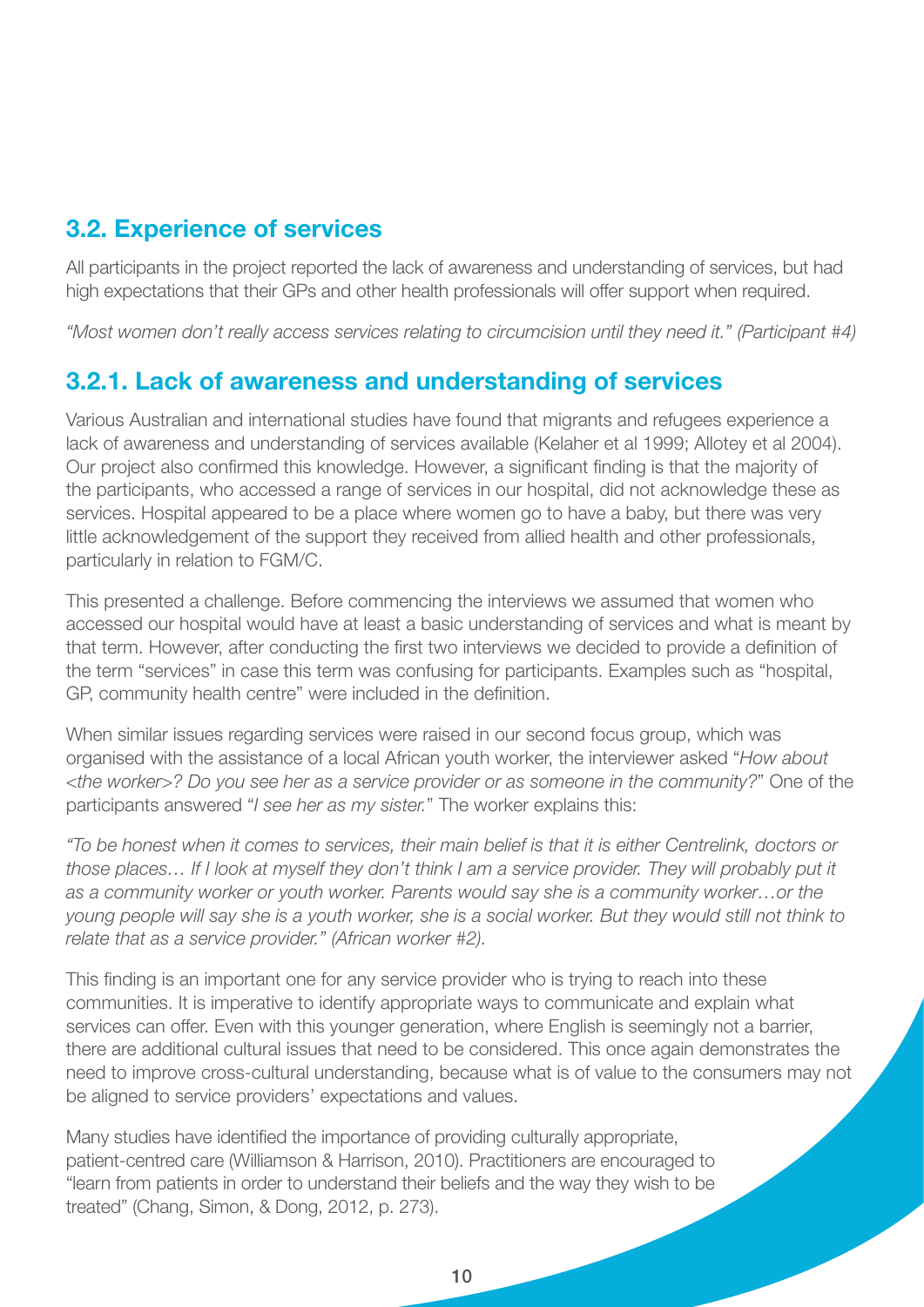#### 3.2. Experience of services

All participants in the project reported the lack of awareness and understanding of services, but had high expectations that their GPs and other health professionals will offer support when required.

*"Most women don't really access services relating to circumcision until they need it." (Participant #4)* 

#### 3.2.1. Lack of awareness and understanding of services

Various Australian and international studies have found that migrants and refugees experience a lack of awareness and understanding of services available (Kelaher et al 1999; Allotey et al 2004). Our project also confirmed this knowledge. However, a significant finding is that the majority of the participants, who accessed a range of services in our hospital, did not acknowledge these as services. Hospital appeared to be a place where women go to have a baby, but there was very little acknowledgement of the support they received from allied health and other professionals, particularly in relation to FGM/C.

This presented a challenge. Before commencing the interviews we assumed that women who accessed our hospital would have at least a basic understanding of services and what is meant by that term. However, after conducting the first two interviews we decided to provide a definition of the term "services" in case this term was confusing for participants. Examples such as "hospital, GP, community health centre" were included in the definition.

When similar issues regarding services were raised in our second focus group, which was organised with the assistance of a local African youth worker, the interviewer asked "*How about <the worker>? Do you see her as a service provider or as someone in the community?*" One of the participants answered "*I see her as my sister.*" The worker explains this:

*"To be honest when it comes to services, their main belief is that it is either Centrelink, doctors or those places... If I look at myself they don't think I am a service provider. They will probably put it as a community worker or youth worker. Parents would say she is a community worker…or the young people will say she is a youth worker, she is a social worker. But they would still not think to relate that as a service provider." (African worker #2).*

This finding is an important one for any service provider who is trying to reach into these communities. It is imperative to identify appropriate ways to communicate and explain what services can offer. Even with this younger generation, where English is seemingly not a barrier, there are additional cultural issues that need to be considered. This once again demonstrates the need to improve cross-cultural understanding, because what is of value to the consumers may not be aligned to service providers' expectations and values.

Many studies have identified the importance of providing culturally appropriate, patient-centred care (Williamson & Harrison, 2010). Practitioners are encouraged to "learn from patients in order to understand their beliefs and the way they wish to be treated" (Chang, Simon, & Dong, 2012, p. 273).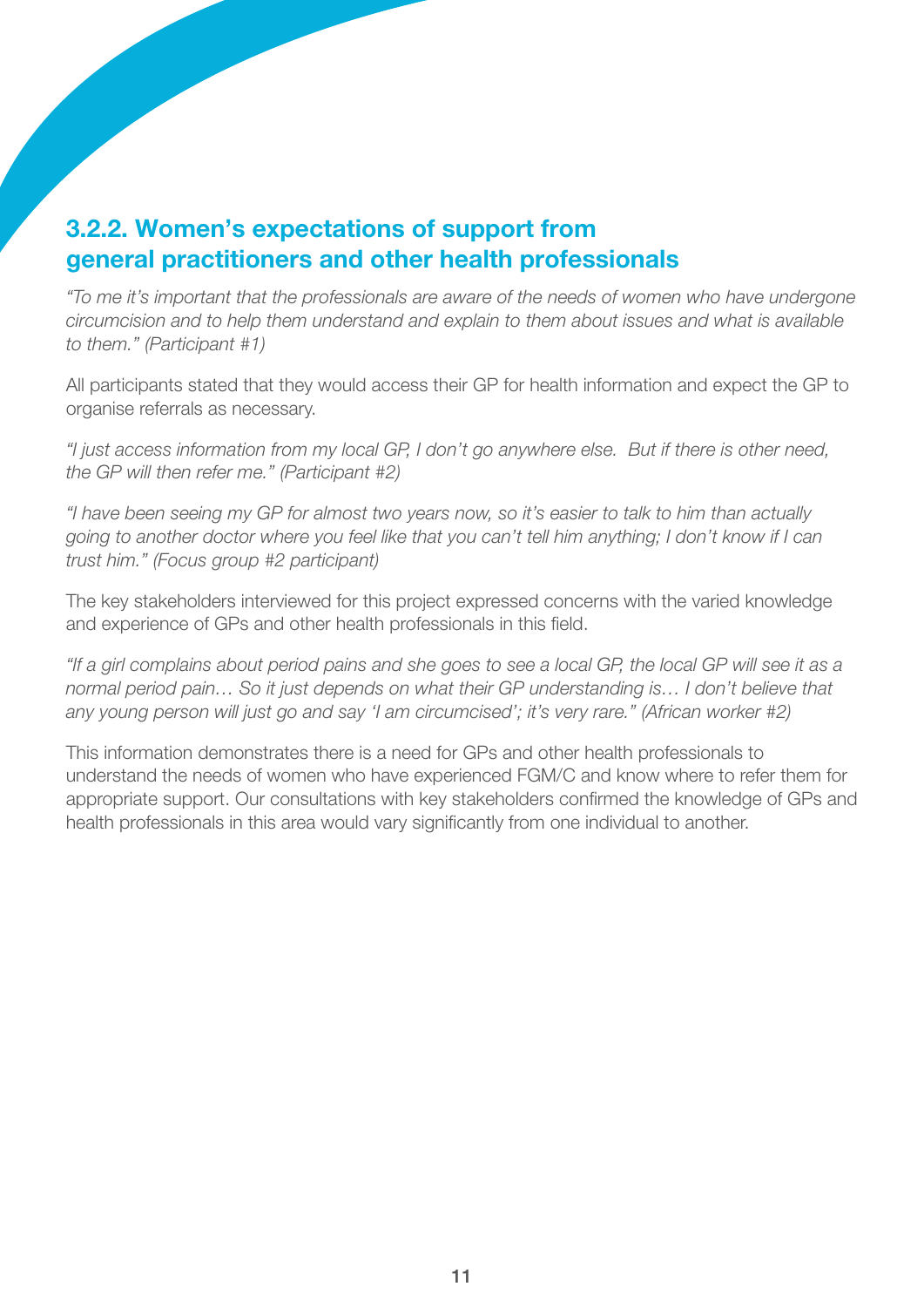### 3.2.2. Women's expectations of support from general practitioners and other health professionals

*"To me it's important that the professionals are aware of the needs of women who have undergone circumcision and to help them understand and explain to them about issues and what is available to them." (Participant #1)*

All participants stated that they would access their GP for health information and expect the GP to organise referrals as necessary.

*"I just access information from my local GP, I don't go anywhere else. But if there is other need, the GP will then refer me." (Participant #2)* 

*"I have been seeing my GP for almost two years now, so it's easier to talk to him than actually going to another doctor where you feel like that you can't tell him anything; I don't know if I can trust him." (Focus group #2 participant)* 

The key stakeholders interviewed for this project expressed concerns with the varied knowledge and experience of GPs and other health professionals in this field.

*"If a girl complains about period pains and she goes to see a local GP, the local GP will see it as a normal period pain… So it just depends on what their GP understanding is… I don't believe that any young person will just go and say 'I am circumcised'; it's very rare." (African worker #2)*

This information demonstrates there is a need for GPs and other health professionals to understand the needs of women who have experienced FGM/C and know where to refer them for appropriate support. Our consultations with key stakeholders confirmed the knowledge of GPs and health professionals in this area would vary significantly from one individual to another.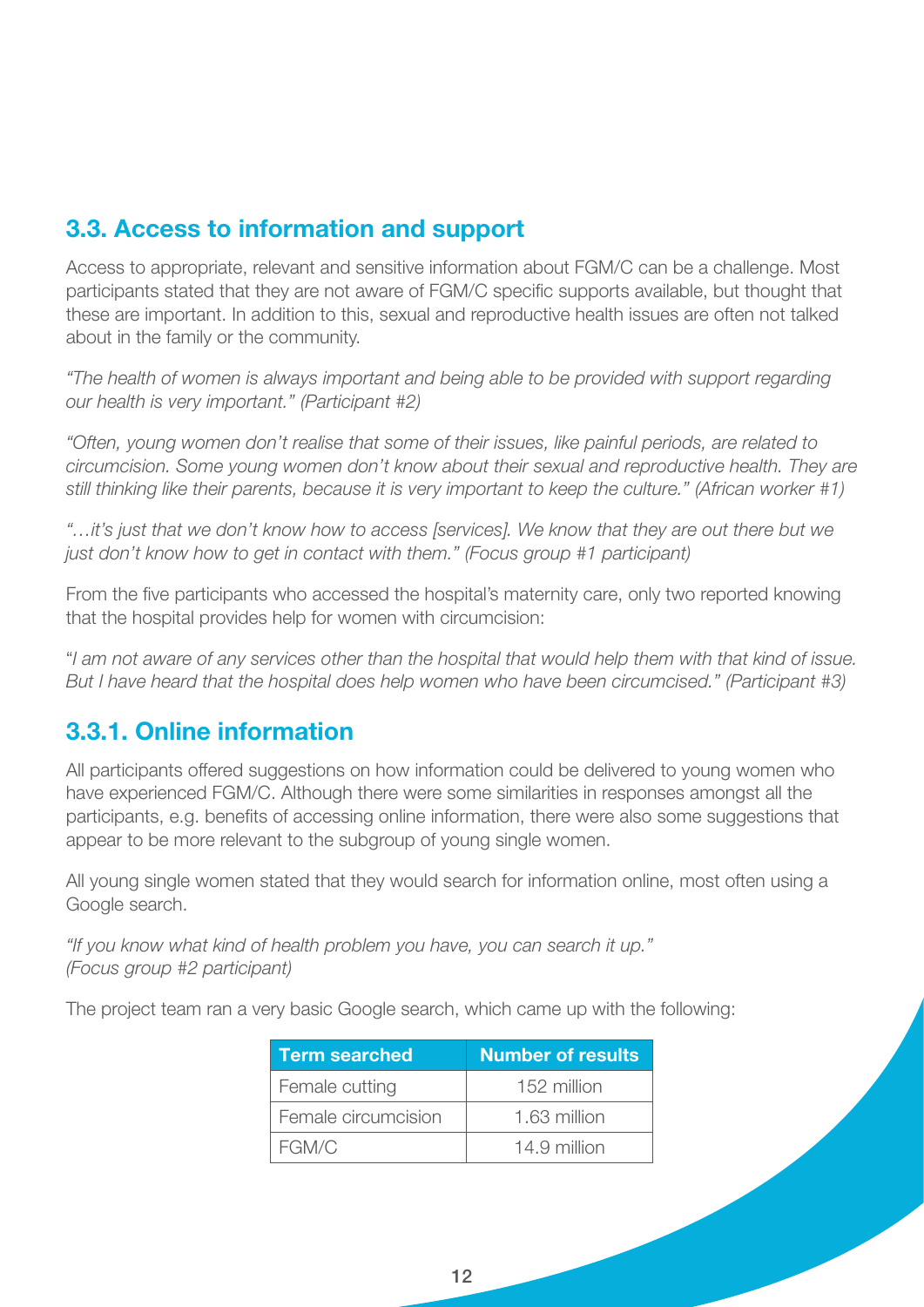#### 3.3. Access to information and support

Access to appropriate, relevant and sensitive information about FGM/C can be a challenge. Most participants stated that they are not aware of FGM/C specific supports available, but thought that these are important. In addition to this, sexual and reproductive health issues are often not talked about in the family or the community.

*"The health of women is always important and being able to be provided with support regarding our health is very important." (Participant #2)*

*"Often, young women don't realise that some of their issues, like painful periods, are related to circumcision. Some young women don't know about their sexual and reproductive health. They are still thinking like their parents, because it is very important to keep the culture." (African worker #1)* 

*"…it's just that we don't know how to access [services]. We know that they are out there but we just don't know how to get in contact with them." (Focus group #1 participant)* 

From the five participants who accessed the hospital's maternity care, only two reported knowing that the hospital provides help for women with circumcision:

"*I am not aware of any services other than the hospital that would help them with that kind of issue. But I have heard that the hospital does help women who have been circumcised." (Participant #3)*

#### 3.3.1. Online information

All participants offered suggestions on how information could be delivered to young women who have experienced FGM/C. Although there were some similarities in responses amongst all the participants, e.g. benefits of accessing online information, there were also some suggestions that appear to be more relevant to the subgroup of young single women.

All young single women stated that they would search for information online, most often using a Google search.

*"If you know what kind of health problem you have, you can search it up." (Focus group #2 participant)* 

The project team ran a very basic Google search, which came up with the following:

| <b>Term searched</b> | <b>Number of results</b> |
|----------------------|--------------------------|
| Female cutting       | 152 million              |
| Female circumcision  | 1.63 million             |
| FGM/C                | 14.9 million             |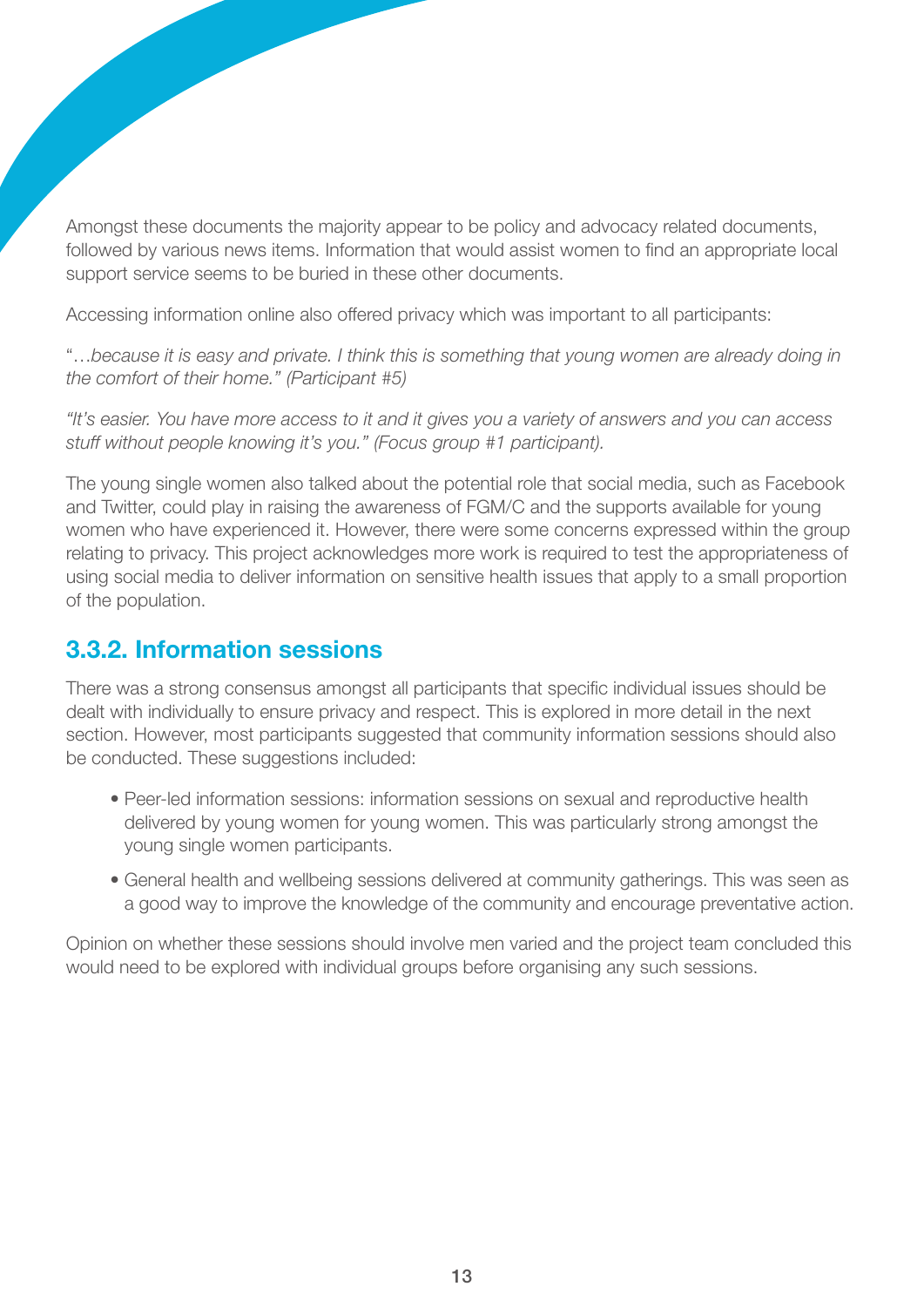Amongst these documents the majority appear to be policy and advocacy related documents, followed by various news items. Information that would assist women to find an appropriate local support service seems to be buried in these other documents.

Accessing information online also offered privacy which was important to all participants:

"…*because it is easy and private. I think this is something that young women are already doing in the comfort of their home." (Participant #5)*

*"It's easier. You have more access to it and it gives you a variety of answers and you can access stuff without people knowing it's you." (Focus group #1 participant).*

The young single women also talked about the potential role that social media, such as Facebook and Twitter, could play in raising the awareness of FGM/C and the supports available for young women who have experienced it. However, there were some concerns expressed within the group relating to privacy. This project acknowledges more work is required to test the appropriateness of using social media to deliver information on sensitive health issues that apply to a small proportion of the population.

#### 3.3.2. Information sessions

There was a strong consensus amongst all participants that specific individual issues should be dealt with individually to ensure privacy and respect. This is explored in more detail in the next section. However, most participants suggested that community information sessions should also be conducted. These suggestions included:

- Peer-led information sessions: information sessions on sexual and reproductive health delivered by young women for young women. This was particularly strong amongst the young single women participants.
- General health and wellbeing sessions delivered at community gatherings. This was seen as a good way to improve the knowledge of the community and encourage preventative action.

Opinion on whether these sessions should involve men varied and the project team concluded this would need to be explored with individual groups before organising any such sessions.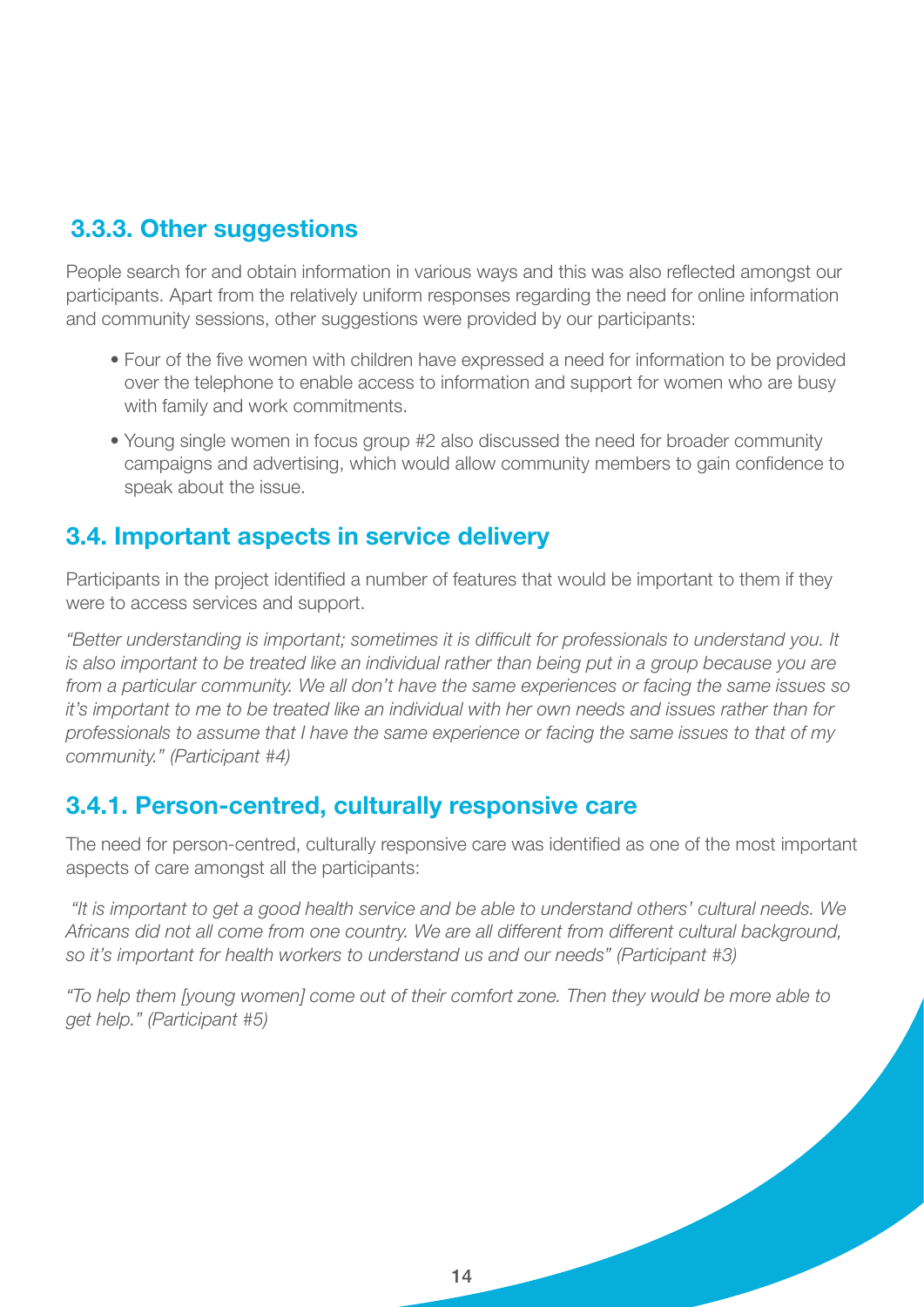### 3.3.3. Other suggestions

People search for and obtain information in various ways and this was also reflected amongst our participants. Apart from the relatively uniform responses regarding the need for online information and community sessions, other suggestions were provided by our participants:

- Four of the five women with children have expressed a need for information to be provided over the telephone to enable access to information and support for women who are busy with family and work commitments.
- Young single women in focus group #2 also discussed the need for broader community campaigns and advertising, which would allow community members to gain confidence to speak about the issue.

#### 3.4. Important aspects in service delivery

Participants in the project identified a number of features that would be important to them if they were to access services and support.

*"Better understanding is important; sometimes it is difficult for professionals to understand you. It is also important to be treated like an individual rather than being put in a group because you are from a particular community. We all don't have the same experiences or facing the same issues so it's important to me to be treated like an individual with her own needs and issues rather than for professionals to assume that I have the same experience or facing the same issues to that of my community." (Participant #4)*

#### 3.4.1. Person-centred, culturally responsive care

The need for person-centred, culturally responsive care was identified as one of the most important aspects of care amongst all the participants:

 *"It is important to get a good health service and be able to understand others' cultural needs. We Africans did not all come from one country. We are all different from different cultural background, so it's important for health workers to understand us and our needs" (Participant #3)* 

*"To help them [young women] come out of their comfort zone. Then they would be more able to get help." (Participant #5)*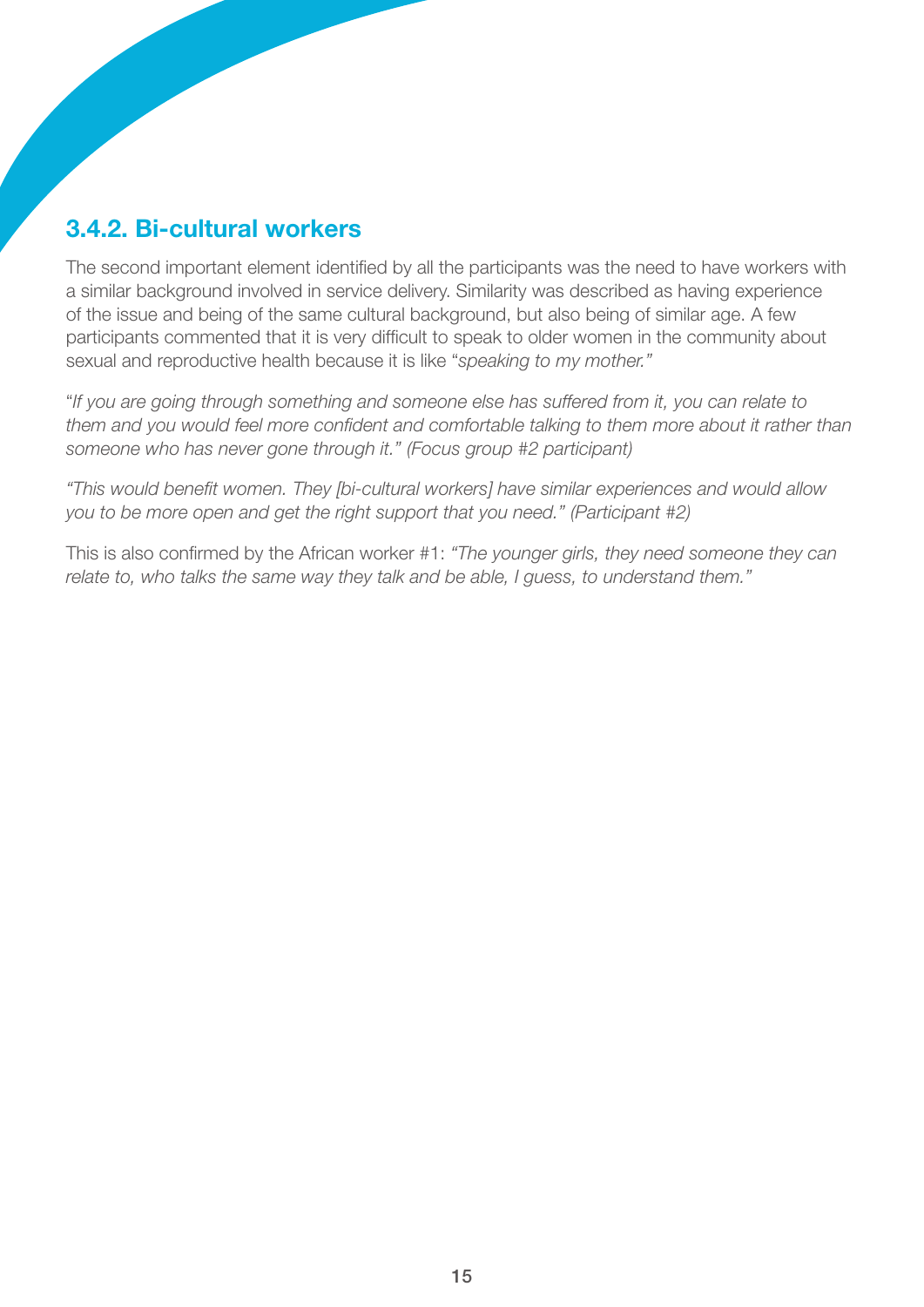### 3.4.2. Bi-cultural workers

The second important element identified by all the participants was the need to have workers with a similar background involved in service delivery. Similarity was described as having experience of the issue and being of the same cultural background, but also being of similar age. A few participants commented that it is very difficult to speak to older women in the community about sexual and reproductive health because it is like "*speaking to my mother."*

"*If you are going through something and someone else has suffered from it, you can relate to them and you would feel more confident and comfortable talking to them more about it rather than someone who has never gone through it." (Focus group #2 participant)* 

*"This would benefit women. They [bi-cultural workers] have similar experiences and would allow you to be more open and get the right support that you need." (Participant #2)*

This is also confirmed by the African worker #1: *"The younger girls, they need someone they can relate to, who talks the same way they talk and be able, I guess, to understand them."*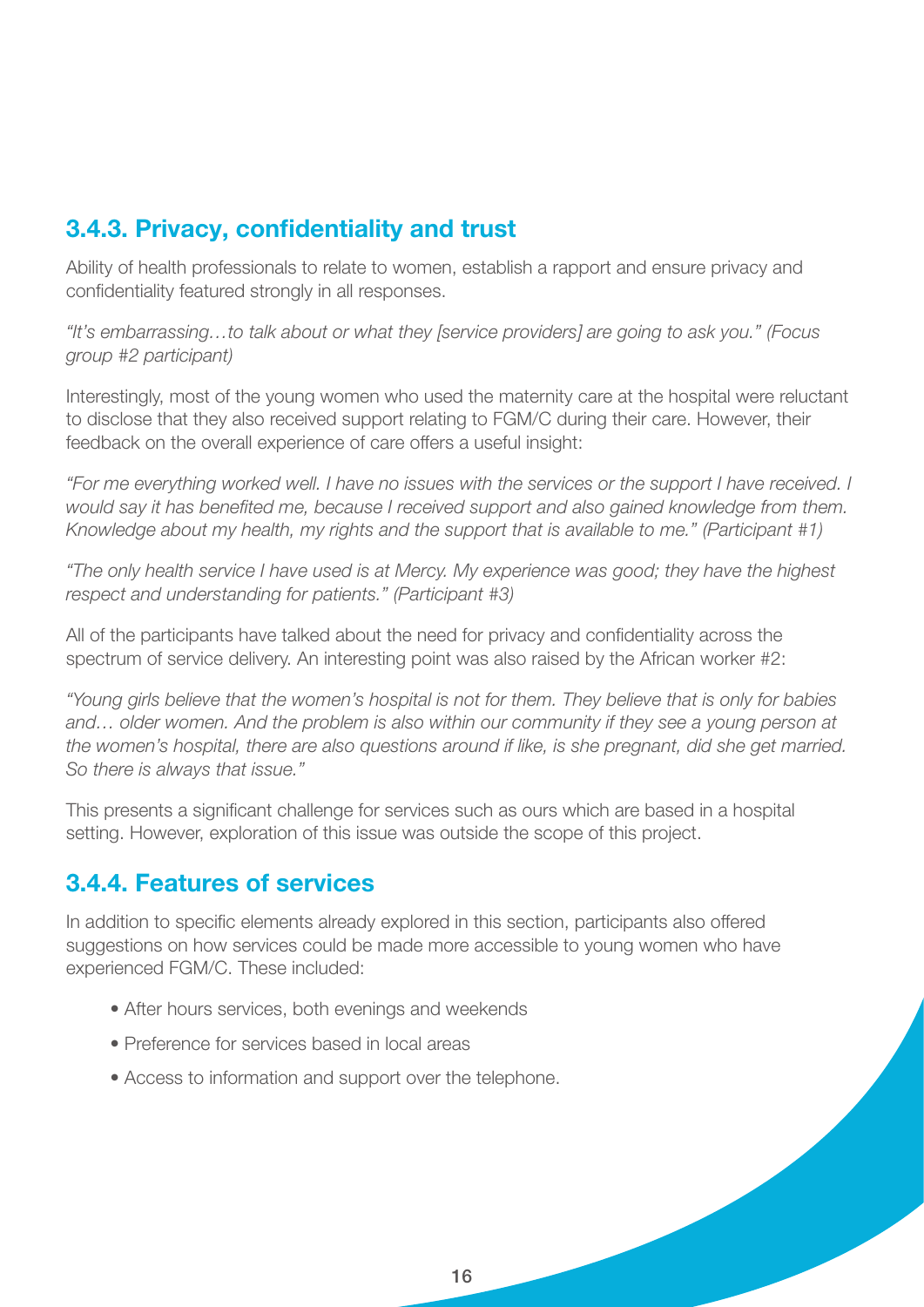### 3.4.3. Privacy, confidentiality and trust

Ability of health professionals to relate to women, establish a rapport and ensure privacy and confidentiality featured strongly in all responses.

*"It's embarrassing…to talk about or what they [service providers] are going to ask you." (Focus group #2 participant)*

Interestingly, most of the young women who used the maternity care at the hospital were reluctant to disclose that they also received support relating to FGM/C during their care. However, their feedback on the overall experience of care offers a useful insight:

*"For me everything worked well. I have no issues with the services or the support I have received. I would say it has benefited me, because I received support and also gained knowledge from them. Knowledge about my health, my rights and the support that is available to me." (Participant #1)* 

*"The only health service I have used is at Mercy. My experience was good; they have the highest respect and understanding for patients." (Participant #3)*

All of the participants have talked about the need for privacy and confidentiality across the spectrum of service delivery. An interesting point was also raised by the African worker #2:

*"Young girls believe that the women's hospital is not for them. They believe that is only for babies and… older women. And the problem is also within our community if they see a young person at the women's hospital, there are also questions around if like, is she pregnant, did she get married. So there is always that issue."*

This presents a significant challenge for services such as ours which are based in a hospital setting. However, exploration of this issue was outside the scope of this project.

#### 3.4.4. Features of services

In addition to specific elements already explored in this section, participants also offered suggestions on how services could be made more accessible to young women who have experienced FGM/C. These included:

- After hours services, both evenings and weekends
- Preference for services based in local areas
- Access to information and support over the telephone.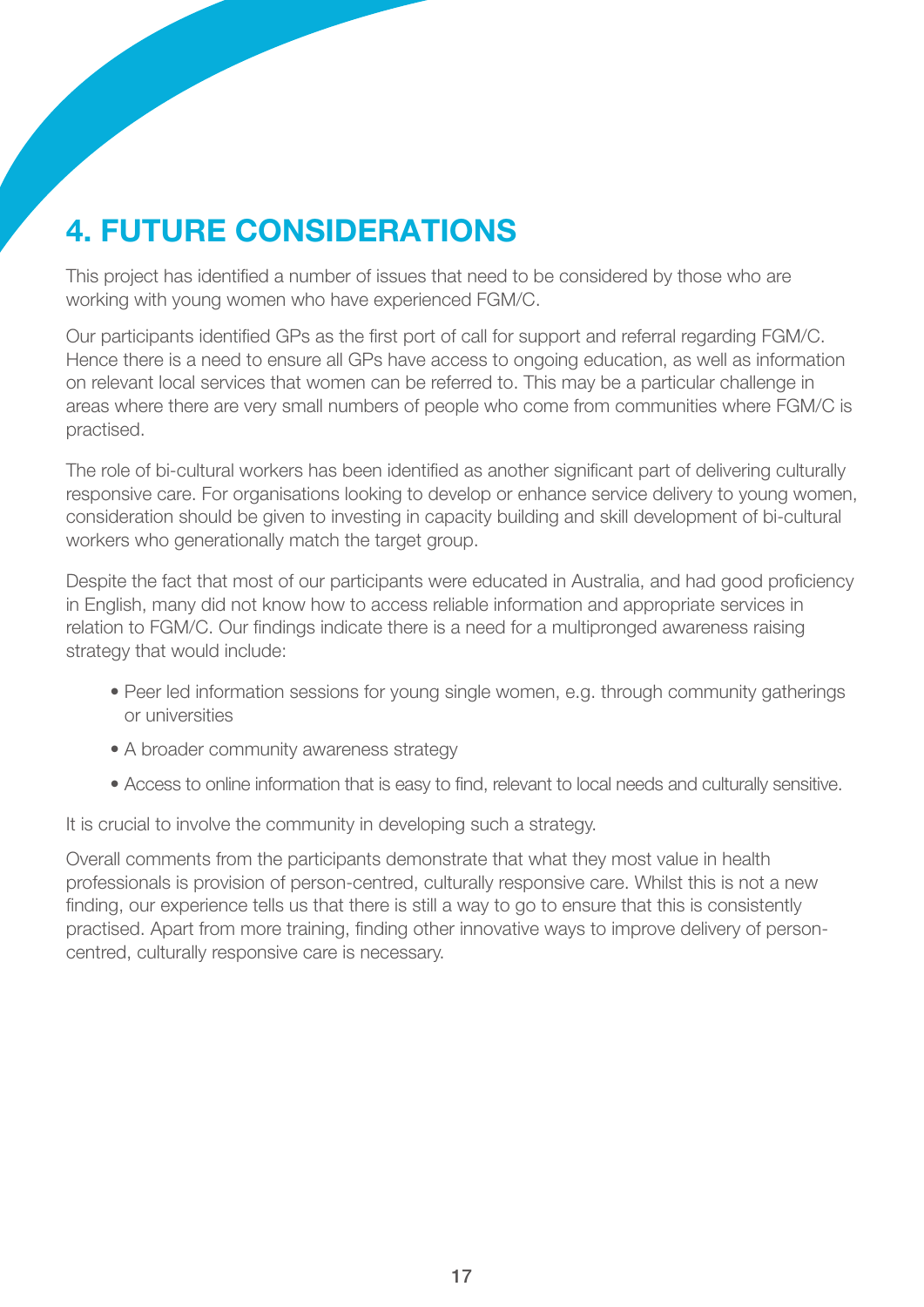# 4. Future considerations

This project has identified a number of issues that need to be considered by those who are working with young women who have experienced FGM/C.

Our participants identified GPs as the first port of call for support and referral regarding FGM/C. Hence there is a need to ensure all GPs have access to ongoing education, as well as information on relevant local services that women can be referred to. This may be a particular challenge in areas where there are very small numbers of people who come from communities where FGM/C is practised.

The role of bi-cultural workers has been identified as another significant part of delivering culturally responsive care. For organisations looking to develop or enhance service delivery to young women, consideration should be given to investing in capacity building and skill development of bi-cultural workers who generationally match the target group.

Despite the fact that most of our participants were educated in Australia, and had good proficiency in English, many did not know how to access reliable information and appropriate services in relation to FGM/C. Our findings indicate there is a need for a multipronged awareness raising strategy that would include:

- Peer led information sessions for young single women, e.g. through community gatherings or universities
- A broader community awareness strategy
- Access to online information that is easy to find, relevant to local needs and culturally sensitive.

It is crucial to involve the community in developing such a strategy.

Overall comments from the participants demonstrate that what they most value in health professionals is provision of person-centred, culturally responsive care. Whilst this is not a new finding, our experience tells us that there is still a way to go to ensure that this is consistently practised. Apart from more training, finding other innovative ways to improve delivery of personcentred, culturally responsive care is necessary.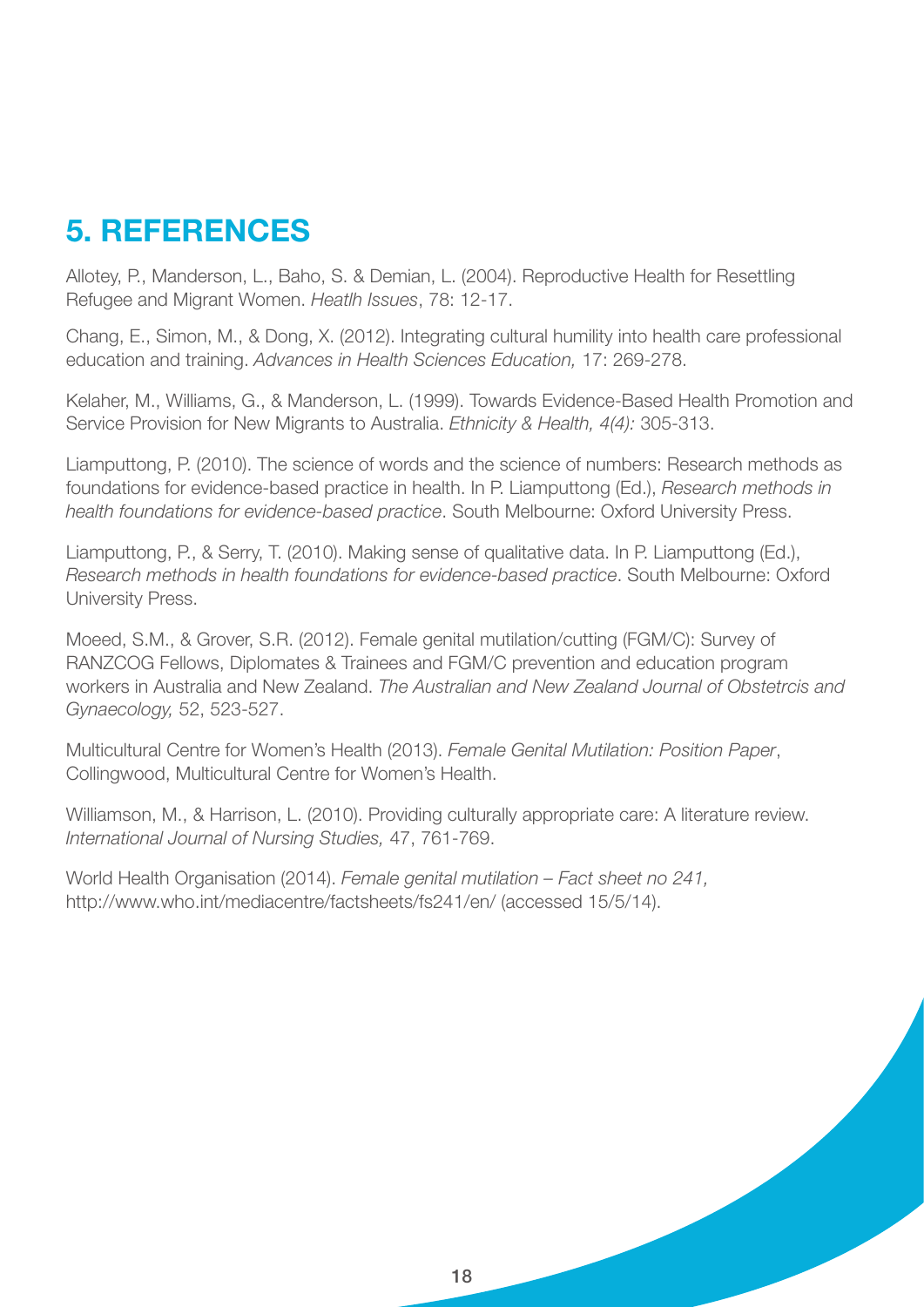## 5. References

Allotey, P., Manderson, L., Baho, S. & Demian, L. (2004). Reproductive Health for Resettling Refugee and Migrant Women. *Heatlh Issues*, 78: 12-17.

Chang, E., Simon, M., & Dong, X. (2012). Integrating cultural humility into health care professional education and training. *Advances in Health Sciences Education,* 17: 269-278.

Kelaher, M., Williams, G., & Manderson, L. (1999). Towards Evidence-Based Health Promotion and Service Provision for New Migrants to Australia. *Ethnicity & Health, 4(4):* 305-313.

Liamputtong, P. (2010). The science of words and the science of numbers: Research methods as foundations for evidence-based practice in health. In P. Liamputtong (Ed.), *Research methods in health foundations for evidence-based practice*. South Melbourne: Oxford University Press.

Liamputtong, P., & Serry, T. (2010). Making sense of qualitative data. In P. Liamputtong (Ed.), *Research methods in health foundations for evidence-based practice*. South Melbourne: Oxford University Press.

Moeed, S.M., & Grover, S.R. (2012). Female genital mutilation/cutting (FGM/C): Survey of RANZCOG Fellows, Diplomates & Trainees and FGM/C prevention and education program workers in Australia and New Zealand. *The Australian and New Zealand Journal of Obstetrcis and Gynaecology,* 52, 523-527.

Multicultural Centre for Women's Health (2013). *Female Genital Mutilation: Position Paper*, Collingwood, Multicultural Centre for Women's Health.

Williamson, M., & Harrison, L. (2010). Providing culturally appropriate care: A literature review. *International Journal of Nursing Studies,* 47, 761-769.

World Health Organisation (2014). *Female genital mutilation – Fact sheet no 241,* http://www.who.int/mediacentre/factsheets/fs241/en/ (accessed 15/5/14).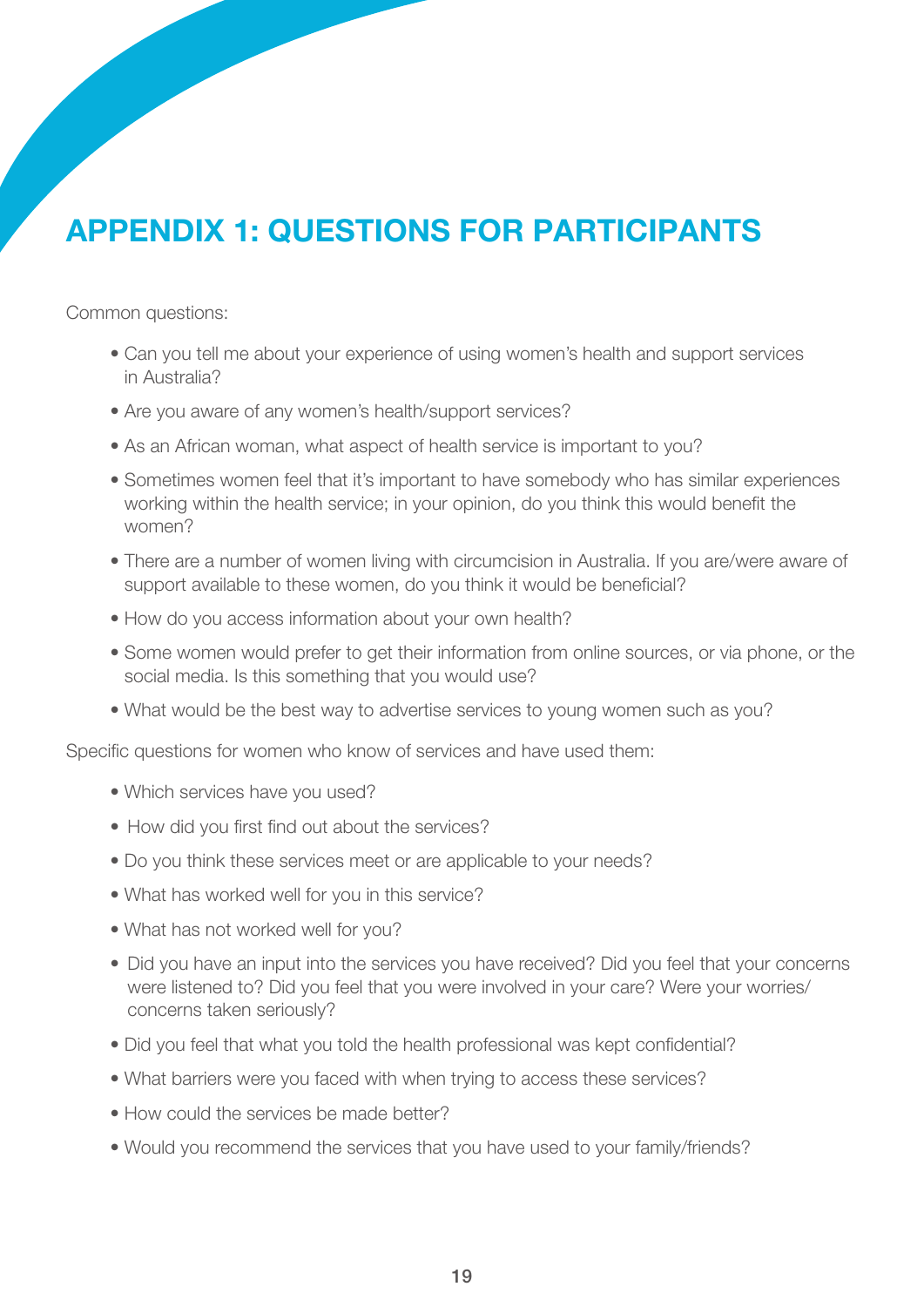# Appendix 1: Questions for participants

Common questions:

- Can you tell me about your experience of using women's health and support services in Australia?
- Are you aware of any women's health/support services?
- As an African woman, what aspect of health service is important to you?
- Sometimes women feel that it's important to have somebody who has similar experiences working within the health service; in your opinion, do you think this would benefit the women?
- There are a number of women living with circumcision in Australia. If you are/were aware of support available to these women, do you think it would be beneficial?
- How do you access information about your own health?
- Some women would prefer to get their information from online sources, or via phone, or the social media. Is this something that you would use?
- What would be the best way to advertise services to young women such as you?

Specific questions for women who know of services and have used them:

- Which services have you used?
- How did you first find out about the services?
- Do you think these services meet or are applicable to your needs?
- What has worked well for you in this service?
- What has not worked well for you?
- Did you have an input into the services you have received? Did you feel that your concerns were listened to? Did you feel that you were involved in your care? Were your worries/ concerns taken seriously?
- Did you feel that what you told the health professional was kept confidential?
- What barriers were you faced with when trying to access these services?
- How could the services be made better?
- Would you recommend the services that you have used to your family/friends?